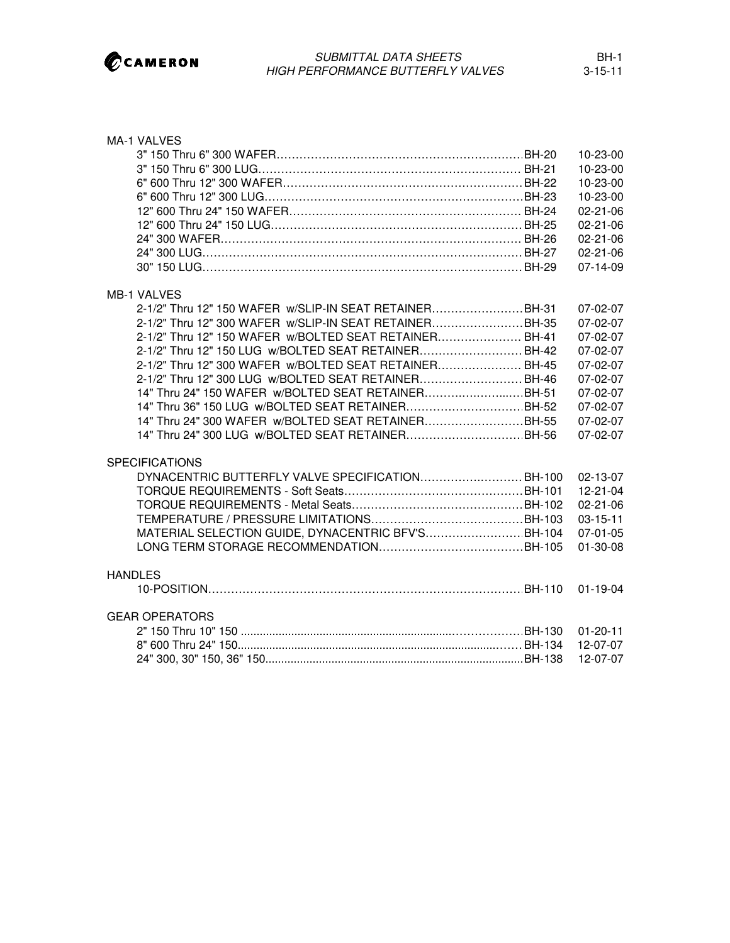

| <b>MA-1 VALVES</b>                                     | 10-23-00<br>$10 - 23 - 00$<br>10-23-00 |
|--------------------------------------------------------|----------------------------------------|
|                                                        | $10 - 23 - 00$                         |
|                                                        | $02 - 21 - 06$                         |
|                                                        | $02 - 21 - 06$                         |
|                                                        | $02 - 21 - 06$                         |
|                                                        | $02 - 21 - 06$                         |
|                                                        | $07 - 14 - 09$                         |
|                                                        |                                        |
| <b>MB-1 VALVES</b>                                     |                                        |
| 2-1/2" Thru 12" 150 WAFER w/SLIP-IN SEAT RETAINERBH-31 | $07-02-07$                             |
| 2-1/2" Thru 12" 300 WAFER w/SLIP-IN SEAT RETAINERBH-35 | 07-02-07                               |
| 2-1/2" Thru 12" 150 WAFER w/BOLTED SEAT RETAINER BH-41 | $07-02-07$                             |
| 2-1/2" Thru 12" 150 LUG w/BOLTED SEAT RETAINERBH-42    | 07-02-07                               |
| 2-1/2" Thru 12" 300 WAFER w/BOLTED SEAT RETAINER BH-45 | $07 - 02 - 07$                         |
| 2-1/2" Thru 12" 300 LUG w/BOLTED SEAT RETAINER BH-46   | $07-02-07$                             |
| 14" Thru 24" 150 WAFER w/BOLTED SEAT RETAINERBH-51     | $07-02-07$                             |
| 14" Thru 36" 150 LUG w/BOLTED SEAT RETAINER BH-52      | $07-02-07$                             |
| 14" Thru 24" 300 WAFER w/BOLTED SEAT RETAINERBH-55     | 07-02-07                               |
| 14" Thru 24" 300 LUG w/BOLTED SEAT RETAINERBH-56       | $07-02-07$                             |
|                                                        |                                        |
| <b>SPECIFICATIONS</b>                                  |                                        |
| DYNACENTRIC BUTTERFLY VALVE SPECIFICATION BH-100       | 02-13-07                               |
|                                                        | 12-21-04                               |
|                                                        | 02-21-06                               |
|                                                        | $03 - 15 - 11$                         |
| MATERIAL SELECTION GUIDE, DYNACENTRIC BFV'S BH-104     | 07-01-05                               |
|                                                        | $01 - 30 - 08$                         |
| <b>HANDLES</b>                                         |                                        |
|                                                        |                                        |
|                                                        |                                        |
| <b>GEAR OPERATORS</b>                                  |                                        |
|                                                        | 01-20-11                               |
|                                                        | 12-07-07                               |
|                                                        | 12-07-07                               |
|                                                        |                                        |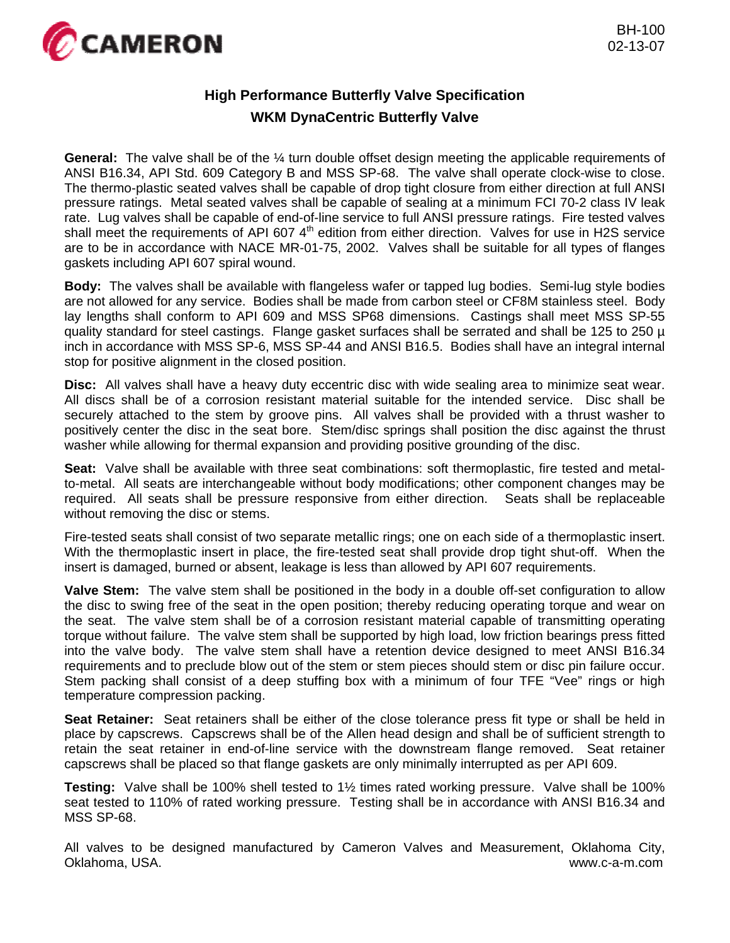

## **High Performance Butterfly Valve Specification WKM DynaCentric Butterfly Valve**

**General:** The valve shall be of the ¼ turn double offset design meeting the applicable requirements of ANSI B16.34, API Std. 609 Category B and MSS SP-68. The valve shall operate clock-wise to close. The thermo-plastic seated valves shall be capable of drop tight closure from either direction at full ANSI pressure ratings. Metal seated valves shall be capable of sealing at a minimum FCI 70-2 class IV leak rate. Lug valves shall be capable of end-of-line service to full ANSI pressure ratings. Fire tested valves shall meet the requirements of API 607 4<sup>th</sup> edition from either direction. Valves for use in H2S service are to be in accordance with NACE MR-01-75, 2002. Valves shall be suitable for all types of flanges gaskets including API 607 spiral wound.

**Body:** The valves shall be available with flangeless wafer or tapped lug bodies. Semi-lug style bodies are not allowed for any service. Bodies shall be made from carbon steel or CF8M stainless steel. Body lay lengths shall conform to API 609 and MSS SP68 dimensions. Castings shall meet MSS SP-55 quality standard for steel castings. Flange gasket surfaces shall be serrated and shall be 125 to 250 µ inch in accordance with MSS SP-6, MSS SP-44 and ANSI B16.5. Bodies shall have an integral internal stop for positive alignment in the closed position.

**Disc:** All valves shall have a heavy duty eccentric disc with wide sealing area to minimize seat wear. All discs shall be of a corrosion resistant material suitable for the intended service. Disc shall be securely attached to the stem by groove pins. All valves shall be provided with a thrust washer to positively center the disc in the seat bore. Stem/disc springs shall position the disc against the thrust washer while allowing for thermal expansion and providing positive grounding of the disc.

**Seat:** Valve shall be available with three seat combinations: soft thermoplastic, fire tested and metalto-metal. All seats are interchangeable without body modifications; other component changes may be required. All seats shall be pressure responsive from either direction. Seats shall be replaceable without removing the disc or stems.

Fire-tested seats shall consist of two separate metallic rings; one on each side of a thermoplastic insert. With the thermoplastic insert in place, the fire-tested seat shall provide drop tight shut-off. When the insert is damaged, burned or absent, leakage is less than allowed by API 607 requirements.

**Valve Stem:** The valve stem shall be positioned in the body in a double off-set configuration to allow the disc to swing free of the seat in the open position; thereby reducing operating torque and wear on the seat. The valve stem shall be of a corrosion resistant material capable of transmitting operating torque without failure. The valve stem shall be supported by high load, low friction bearings press fitted into the valve body. The valve stem shall have a retention device designed to meet ANSI B16.34 requirements and to preclude blow out of the stem or stem pieces should stem or disc pin failure occur. Stem packing shall consist of a deep stuffing box with a minimum of four TFE "Vee" rings or high temperature compression packing.

**Seat Retainer:** Seat retainers shall be either of the close tolerance press fit type or shall be held in place by capscrews. Capscrews shall be of the Allen head design and shall be of sufficient strength to retain the seat retainer in end-of-line service with the downstream flange removed. Seat retainer capscrews shall be placed so that flange gaskets are only minimally interrupted as per API 609.

**Testing:** Valve shall be 100% shell tested to 1½ times rated working pressure. Valve shall be 100% seat tested to 110% of rated working pressure. Testing shall be in accordance with ANSI B16.34 and MSS SP-68.

All valves to be designed manufactured by Cameron Valves and Measurement, Oklahoma City, Oklahoma, USA. www.c-a-m.com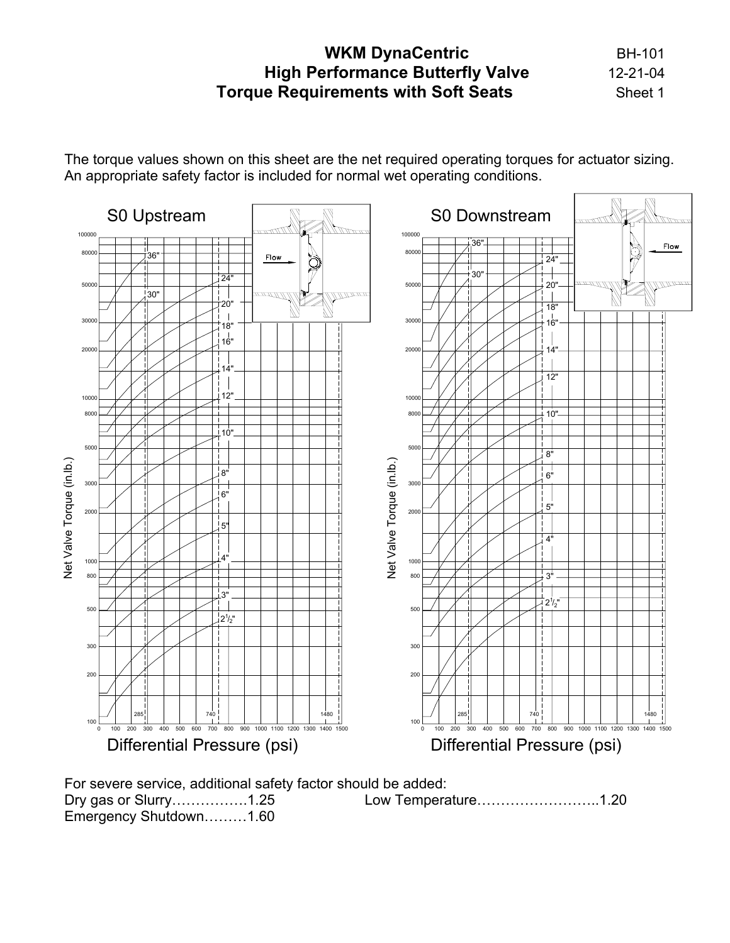## **WKM DynaCentric BH-101 High Performance Butterfly Valve** 12-21-04 **Torque Requirements with Soft Seats** Sheet 1

The torque values shown on this sheet are the net required operating torques for actuator sizing. An appropriate safety factor is included for normal wet operating conditions.



For severe service, additional safety factor should be added: Dry gas or Slurry…………….1.25 Low Temperature……………………..1.20 Emergency Shutdown………1.60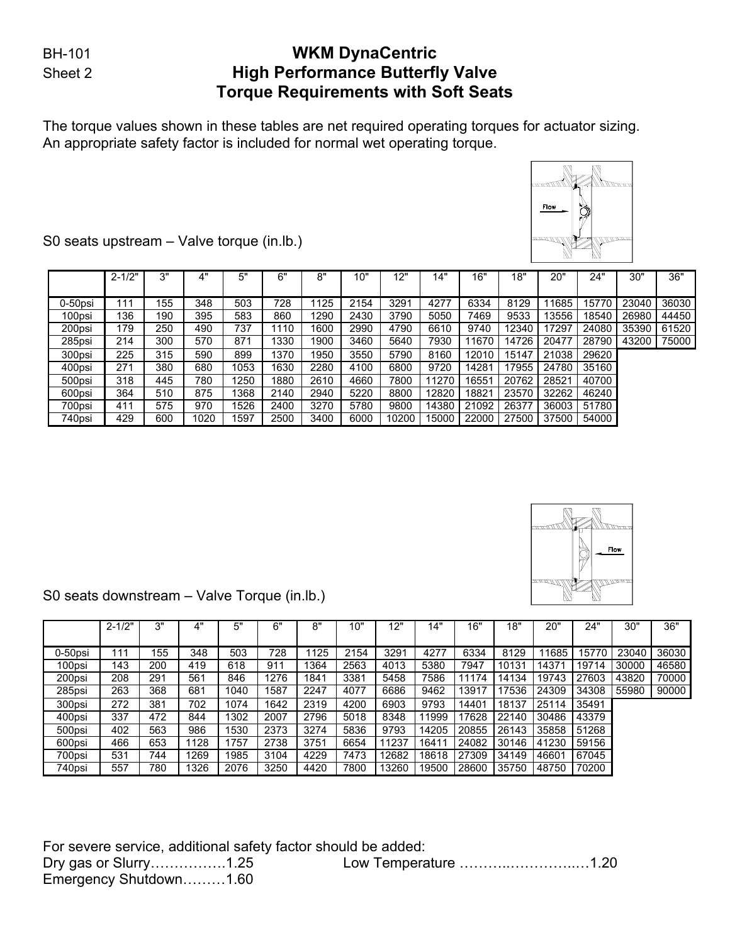## BH-101 **WKM DynaCentric** Sheet 2 **High Performance Butterfly Valve Torque Requirements with Soft Seats**

The torque values shown in these tables are net required operating torques for actuator sizing. An appropriate safety factor is included for normal wet operating torque.



S0 seats upstream – Valve torque (in.lb.)

S0 seats downstream – Valve Torque (in.lb.)

|            | $2 - 1/2"$ | 3"  | 4"   | 5"   | 6"   | 8"   | 10"  | 12"   | 14"   | 16"   | 18"   | 20"   | 24"   | 30"   | 36"   |
|------------|------------|-----|------|------|------|------|------|-------|-------|-------|-------|-------|-------|-------|-------|
|            |            |     |      |      |      |      |      |       |       |       |       |       |       |       |       |
| $0-50$ psi | 111        | 155 | 348  | 503  | 728  | 1125 | 2154 | 3291  | 4277  | 6334  | 8129  | 11685 | 15770 | 23040 | 36030 |
| 100psi     | 136        | 190 | 395  | 583  | 860  | 1290 | 2430 | 3790  | 5050  | 7469  | 9533  | 3556  | 18540 | 26980 | 44450 |
| 200psi     | 179        | 250 | 490  | 737  | .110 | 1600 | 2990 | 4790  | 6610  | 9740  | 12340 | 17297 | 24080 | 35390 | 61520 |
| 285psi     | 214        | 300 | 570  | 871  | 1330 | 1900 | 3460 | 5640  | 7930  | 11670 | 14726 | 20477 | 28790 | 43200 | 75000 |
| 300psi     | 225        | 315 | 590  | 899  | 1370 | 1950 | 3550 | 5790  | 8160  | 12010 | 15147 | 21038 | 29620 |       |       |
| 400psi     | 271        | 380 | 680  | 1053 | 1630 | 2280 | 4100 | 6800  | 9720  | 14281 | 17955 | 24780 | 35160 |       |       |
| 500psi     | 318        | 445 | 780  | 1250 | 1880 | 2610 | 4660 | 7800  | 11270 | 16551 | 20762 | 28521 | 40700 |       |       |
| 600psi     | 364        | 510 | 875  | 1368 | 2140 | 2940 | 5220 | 8800  | 12820 | 18821 | 23570 | 32262 | 46240 |       |       |
| 700psi     | 411        | 575 | 970  | 1526 | 2400 | 3270 | 5780 | 9800  | 14380 | 21092 | 26377 | 36003 | 51780 |       |       |
| 740psi     | 429        | 600 | 1020 | 1597 | 2500 | 3400 | 6000 | 10200 | 15000 | 22000 | 27500 | 37500 | 54000 |       |       |



|         | $2 - 1/2"$ | 3"  | 4"   | 5"   | 6"   | 8"   | 10"  | 12"   | "4ا   | 16"   | 18"   | 20"   | 24"   | 30"   | 36"   |
|---------|------------|-----|------|------|------|------|------|-------|-------|-------|-------|-------|-------|-------|-------|
| 0-50psi | 111        | 155 | 348  | 503  | 728  | 125  | 2154 | 3291  | 4277  | 6334  | 8129  | 1685  | 15770 | 23040 | 36030 |
| 100psi  | 143        | 200 | 419  | 618  | 911  | 364  | 2563 | 4013  | 5380  | 7947  | 10131 | 14371 | 19714 | 30000 | 46580 |
| 200psi  | 208        | 291 | 561  | 846  | 1276 | 1841 | 3381 | 5458  | 7586  | 11174 | 14134 | 19743 | 27603 | 43820 | 70000 |
| 285psi  | 263        | 368 | 681  | 1040 | 1587 | 2247 | 4077 | 6686  | 9462  | 13917 | 17536 | 24309 | 34308 | 55980 | 90000 |
| 300psi  | 272        | 381 | 702  | 1074 | 1642 | 2319 | 4200 | 6903  | 9793  | 14401 | 18137 | 25114 | 35491 |       |       |
| 400psi  | 337        | 472 | 844  | 1302 | 2007 | 2796 | 5018 | 8348  | 11999 | 17628 | 22140 | 30486 | 43379 |       |       |
| 500psi  | 402        | 563 | 986  | 1530 | 2373 | 3274 | 5836 | 9793  | 14205 | 20855 | 26143 | 35858 | 51268 |       |       |
| 600psi  | 466        | 653 | 128  | 1757 | 2738 | 3751 | 6654 | 11237 | 16411 | 24082 | 30146 | 41230 | 59156 |       |       |
| 700psi  | 531        | 744 | 1269 | 1985 | 3104 | 4229 | 7473 | 12682 | 18618 | 27309 | 34149 | 46601 | 67045 |       |       |
| 740psi  | 557        | 780 | 1326 | 2076 | 3250 | 4420 | 7800 | 13260 | 19500 | 28600 | 35750 | 48750 | 70200 |       |       |

For severe service, additional safety factor should be added: Dry gas or Slurry…………….1.25 Low Temperature ………..…………..…1.20 Emergency Shutdown………1.60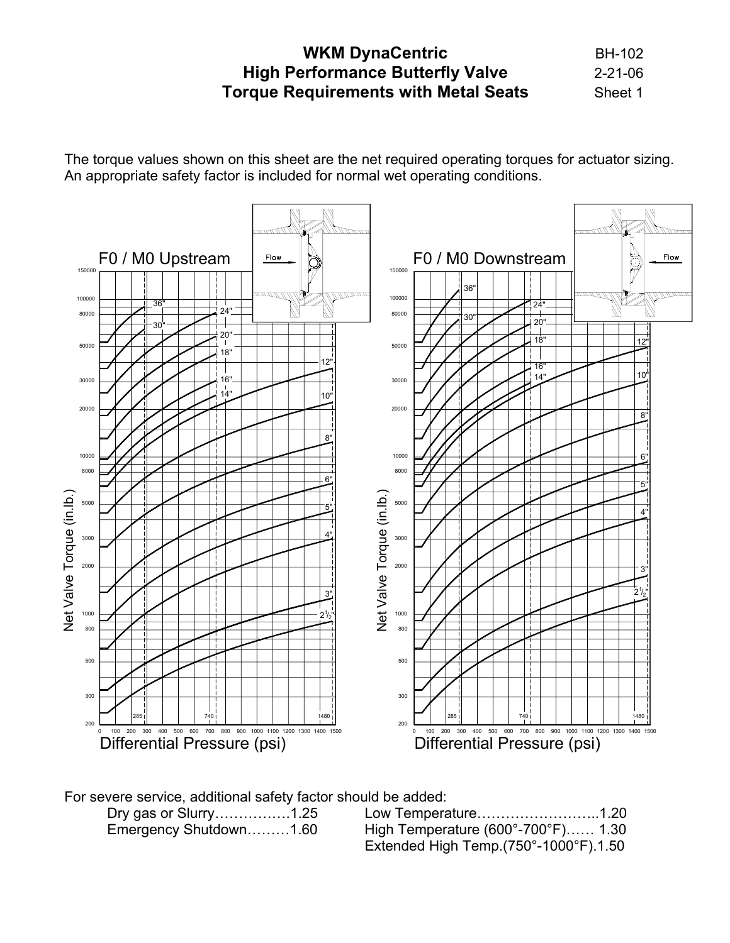# **WKM DynaCentric BH-102 High Performance Butterfly Valve** 2-21-06 **Torque Requirements with Metal Seats** Sheet 1

The torque values shown on this sheet are the net required operating torques for actuator sizing. An appropriate safety factor is included for normal wet operating conditions.



For severe service, additional safety factor should be added:

 Dry gas or Slurry…………….1.25 Low Temperature……………………..1.20 Emergency Shutdown………1.60 High Temperature (600°-700°F)…… 1.30 Extended High Temp.(750°-1000°F).1.50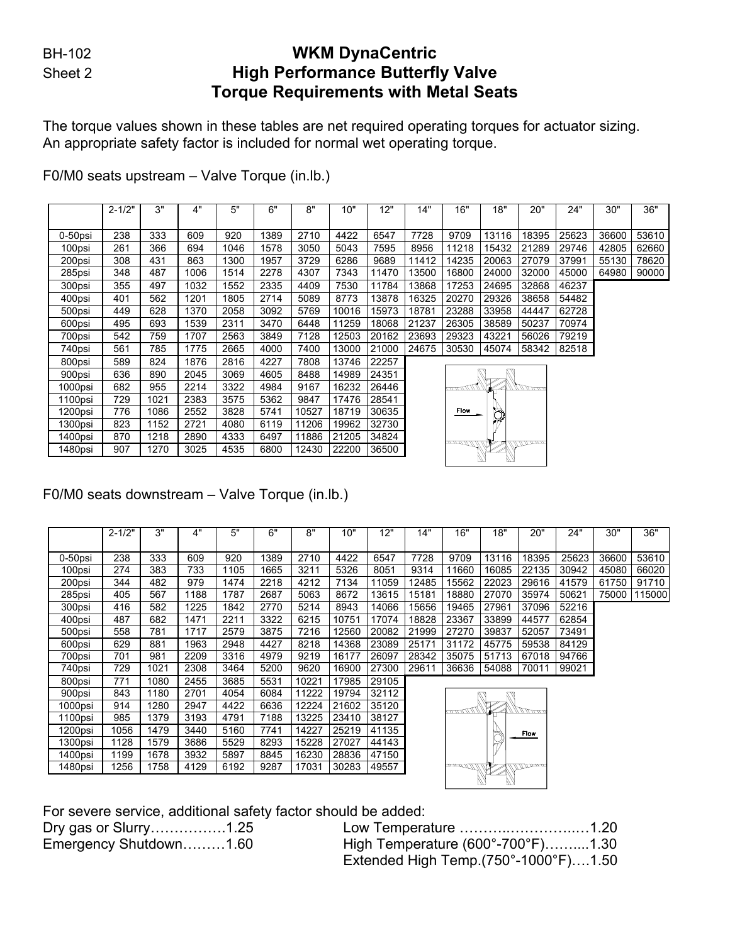## BH-102 **WKM DynaCentric** Sheet 2 **High Performance Butterfly Valve Torque Requirements with Metal Seats**

The torque values shown in these tables are net required operating torques for actuator sizing. An appropriate safety factor is included for normal wet operating torque.

|         | $2 - 1/2"$ | 3"   | 4"   | 5"   | 6"   | 8"    | 10"   | 12"   | 14"   | 16"         | 18"    | 20"                 | 24"   | 30"   | 36"   |
|---------|------------|------|------|------|------|-------|-------|-------|-------|-------------|--------|---------------------|-------|-------|-------|
|         |            |      |      |      |      |       |       |       |       |             |        |                     |       |       |       |
| 0-50psi | 238        | 333  | 609  | 920  | 1389 | 2710  | 4422  | 6547  | 7728  | 9709        | 13116  | 18395               | 25623 | 36600 | 53610 |
| 100psi  | 261        | 366  | 694  | 1046 | 1578 | 3050  | 5043  | 7595  | 8956  | 11218       | 15432  | 21289               | 29746 | 42805 | 62660 |
| 200psi  | 308        | 431  | 863  | 1300 | 1957 | 3729  | 6286  | 9689  | 11412 | 14235       | 20063  | 27079               | 37991 | 55130 | 78620 |
| 285psi  | 348        | 487  | 1006 | 1514 | 2278 | 4307  | 7343  | 11470 | 13500 | 16800       | 24000  | 32000               | 45000 | 64980 | 90000 |
| 300psi  | 355        | 497  | 1032 | 1552 | 2335 | 4409  | 7530  | 11784 | 13868 | 17253       | 24695  | 32868               | 46237 |       |       |
| 400psi  | 401        | 562  | 1201 | 1805 | 2714 | 5089  | 8773  | 13878 | 16325 | 20270       | 29326  | 38658               | 54482 |       |       |
| 500psi  | 449        | 628  | 1370 | 2058 | 3092 | 5769  | 10016 | 15973 | 18781 | 23288       | 33958  | 44447               | 62728 |       |       |
| 600psi  | 495        | 693  | 1539 | 2311 | 3470 | 6448  | 11259 | 18068 | 21237 | 26305       | 38589  | 50237               | 70974 |       |       |
| 700psi  | 542        | 759  | 1707 | 2563 | 3849 | 7128  | 12503 | 20162 | 23693 | 29323       | 43221  | 56026               | 79219 |       |       |
| 740psi  | 561        | 785  | 1775 | 2665 | 4000 | 7400  | 13000 | 21000 | 24675 | 30530       | 45074  | 58342               | 82518 |       |       |
| 800psi  | 589        | 824  | 1876 | 2816 | 4227 | 7808  | 13746 | 22257 |       |             |        |                     |       |       |       |
| 900psi  | 636        | 890  | 2045 | 3069 | 4605 | 8488  | 14989 | 24351 |       |             |        |                     |       |       |       |
| 1000psi | 682        | 955  | 2214 | 3322 | 4984 | 9167  | 16232 | 26446 |       | 1111111111  | ▼      | ANDONEW             |       |       |       |
| 1100psi | 729        | 1021 | 2383 | 3575 | 5362 | 9847  | 17476 | 28541 |       |             |        |                     |       |       |       |
| 1200psi | 776        | 1086 | 2552 | 3828 | 5741 | 10527 | 18719 | 30635 |       | <b>Flow</b> | )<br>V |                     |       |       |       |
| 1300psi | 823        | 1152 | 2721 | 4080 | 6119 | 11206 | 19962 | 32730 |       |             |        |                     |       |       |       |
| 1400psi | 870        | 1218 | 2890 | 4333 | 6497 | 11886 | 21205 | 34824 |       |             |        |                     |       |       |       |
| 1480psi | 907        | 1270 | 3025 | 4535 | 6800 | 12430 | 22200 | 36500 |       | mno MMW     |        | <u> 11 11 Troom</u> |       |       |       |
|         |            |      |      |      |      |       |       |       |       |             |        |                     |       |       |       |

F0/M0 seats upstream – Valve Torque (in.lb.)

## F0/M0 seats downstream – Valve Torque (in.lb.)

|         | $2 - 1/2"$ | 3"   | 4"   | 5"   | 6"   | 8"    | 10"   | 12"   | 14"   | 16"                 | 18"    | 20"                 | 24"   | 30"   | 36"    |
|---------|------------|------|------|------|------|-------|-------|-------|-------|---------------------|--------|---------------------|-------|-------|--------|
|         |            |      |      |      |      |       |       |       |       |                     |        |                     |       |       |        |
| 0-50psi | 238        | 333  | 609  | 920  | 1389 | 2710  | 4422  | 6547  | 7728  | 9709                | 13116  | 18395               | 25623 | 36600 | 53610  |
| 100psi  | 274        | 383  | 733  | 1105 | 1665 | 3211  | 5326  | 8051  | 9314  | 11660               | 16085  | 22135               | 30942 | 45080 | 66020  |
| 200psi  | 344        | 482  | 979  | 1474 | 2218 | 4212  | 7134  | 11059 | 12485 | 15562               | 22023  | 29616               | 41579 | 61750 | 91710  |
| 285psi  | 405        | 567  | 1188 | 1787 | 2687 | 5063  | 8672  | 13615 | 15181 | 18880               | 27070  | 35974               | 50621 | 75000 | 115000 |
| 300psi  | 416        | 582  | 1225 | 1842 | 2770 | 5214  | 8943  | 14066 | 15656 | 19465               | 27961  | 37096               | 52216 |       |        |
| 400psi  | 487        | 682  | 1471 | 2211 | 3322 | 6215  | 10751 | 17074 | 18828 | 23367               | 33899  | 44577               | 62854 |       |        |
| 500psi  | 558        | 781  | 1717 | 2579 | 3875 | 7216  | 12560 | 20082 | 21999 | 27270               | 39837  | 52057               | 73491 |       |        |
| 600psi  | 629        | 881  | 1963 | 2948 | 4427 | 8218  | 14368 | 23089 | 25171 | 31172               | 45775  | 59538               | 84129 |       |        |
| 700psi  | 701        | 981  | 2209 | 3316 | 4979 | 9219  | 16177 | 26097 | 28342 | 35075               | 51713  | 67018               | 94766 |       |        |
| 740psi  | 729        | 1021 | 2308 | 3464 | 5200 | 9620  | 16900 | 27300 | 29611 | 36636               | 54088  | 70011               | 99021 |       |        |
| 800psi  | 771        | 1080 | 2455 | 3685 | 5531 | 10221 | 17985 | 29105 |       |                     |        |                     |       |       |        |
| 900psi  | 843        | 1180 | 2701 | 4054 | 6084 | 11222 | 19794 | 32112 |       |                     |        |                     |       |       |        |
| 1000psi | 914        | 1280 | 2947 | 4422 | 6636 | 12224 | 21602 | 35120 |       | $\ell$ א מדעד הר    | M      | ANDONE              |       |       |        |
| 1100psi | 985        | 1379 | 3193 | 4791 | 7188 | 13225 | 23410 | 38127 |       |                     |        |                     |       |       |        |
| 1200psi | 1056       | 1479 | 3440 | 5160 | 7741 | 14227 | 25219 | 41135 | Flow  |                     |        |                     |       |       |        |
| 1300psi | 1128       | 1579 | 3686 | 5529 | 8293 | 15228 | 27027 | 44143 |       |                     | )<br>V |                     |       |       |        |
| 1400psi | 1199       | 1678 | 3932 | 5897 | 8845 | 16230 | 28836 | 47150 |       |                     |        |                     |       |       |        |
| 1480psi | 1256       | 1758 | 4129 | 6192 | 9287 | 17031 | 30283 | 49557 |       | <u>mman Mill Ma</u> |        | <u>ill II Trann</u> |       |       |        |
|         |            |      |      |      |      |       |       |       |       |                     |        |                     |       |       |        |
|         |            |      |      |      |      |       |       |       |       |                     |        |                     |       |       |        |

For severe service, additional safety factor should be added:

| Dry gas or Slurry1.25  |                                                          |  |
|------------------------|----------------------------------------------------------|--|
| Emergency Shutdown1.60 | High Temperature (600°-700°F)1.30                        |  |
|                        | Extended High Temp. $(750^{\circ} - 1000^{\circ}F)$ 1.50 |  |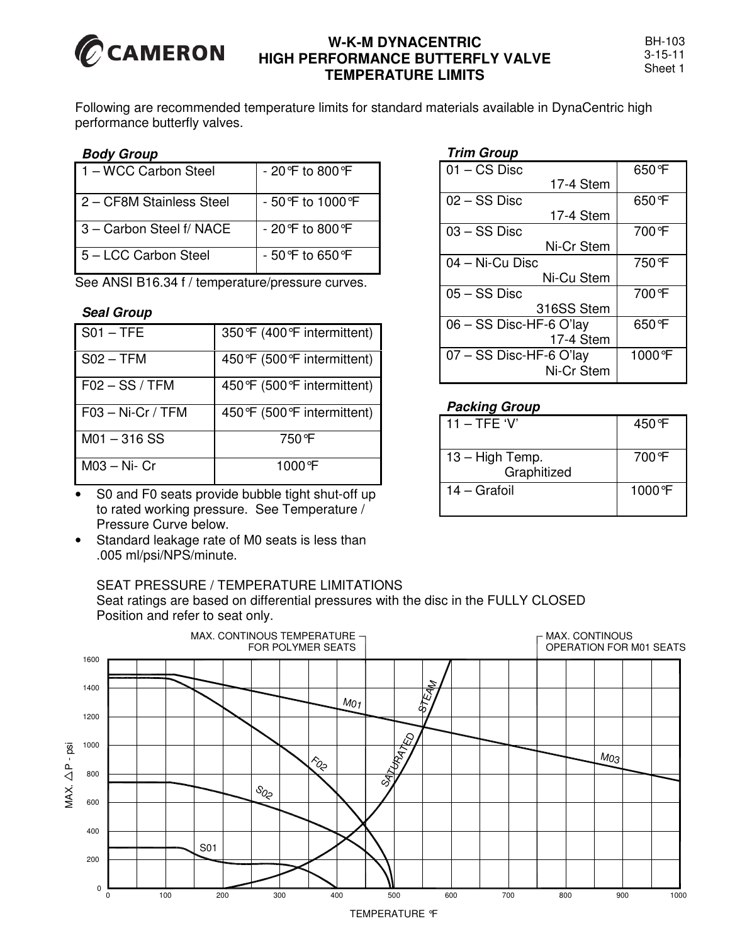

## **W-K-M DYNACENTRIC HIGH PERFORMANCE BUTTERFLY VALVE TEMPERATURE LIMITS**

Following are recommended temperature limits for standard materials available in DynaCentric high performance butterfly valves.

#### *Body Group*

| 1 – WCC Carbon Steel     | - 20 °F to 800 °F   |
|--------------------------|---------------------|
| 2 – CF8M Stainless Steel | $-50$ °F to 1000 °F |
| 3 – Carbon Steel f/ NACE | $-20$ °F to 800 °F  |
| 5 - LCC Carbon Steel     | - 50 °F to 650 °F   |

See ANSI B16.34 f / temperature/pressure curves.

#### *Seal Group*

| $SO1 - TFE$         | 350°F (400°F intermittent)   |
|---------------------|------------------------------|
| $SO2 - TFM$         | 450°F (500°F intermittent)   |
| $F02 - SS/TFM$      | 450 °F (500 °F intermittent) |
| $F03 - Ni-Cr / TFM$ | 450°F (500°F intermittent)   |
| $M01 - 316$ SS      | 750°F                        |
| $M03 - Ni - Cr$     | $1000 \text{ }^{\circ}$ F    |

S0 and F0 seats provide bubble tight shut-off up to rated working pressure. See Temperature / Pressure Curve below.

Standard leakage rate of M0 seats is less than .005 ml/psi/NPS/minute.

## SEAT PRESSURE / TEMPERATURE LIMITATIONS

Seat ratings are based on differential pressures with the disc in the FULLY CLOSED Position and refer to seat only.



#### 01 – CS Disc 17-4 Stem 650°F 02 – SS Disc 17-4 Stem 650°F 03 – SS Disc Ni-Cr Stem 700°F 04 – Ni-Cu Disc Ni-Cu Stem 750°F 05 – SS Disc 316SS Stem 700°F 06 – SS Disc-HF-6 O'lay 17-4 Stem 650°F 07 – SS Disc-HF-6 O'lay Ni-Cr Stem 1000°F

### *Packing Group*

*Trim Group*

| $11 - TFE$ 'V'                   | 450 F                |
|----------------------------------|----------------------|
| $13 - High Temp.$<br>Graphitized | 700 F                |
| 14 – Grafoil                     | 1000 $\textdegree$ F |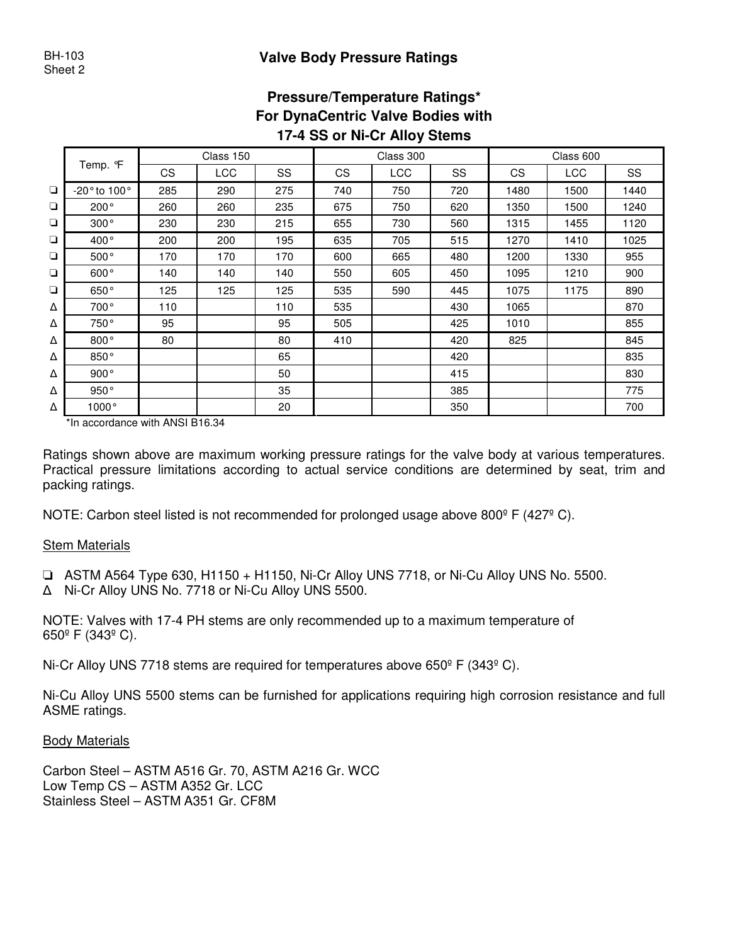## **Pressure/Temperature Ratings\* For DynaCentric Valve Bodies with 17-4 SS or Ni-Cr Alloy Stems**

|        |                                  |           | Class 150 |     |           | Class 300  |     |      | Class 600  |      |
|--------|----------------------------------|-----------|-----------|-----|-----------|------------|-----|------|------------|------|
|        | Temp. ºF                         | <b>CS</b> | LCC       | SS  | <b>CS</b> | <b>LCC</b> | SS  | CS   | <b>LCC</b> | SS   |
| $\Box$ | -20 $^{\circ}$ to 100 $^{\circ}$ | 285       | 290       | 275 | 740       | 750        | 720 | 1480 | 1500       | 1440 |
| $\Box$ | $200^{\circ}$                    | 260       | 260       | 235 | 675       | 750        | 620 | 1350 | 1500       | 1240 |
| $\Box$ | 300°                             | 230       | 230       | 215 | 655       | 730        | 560 | 1315 | 1455       | 1120 |
| $\Box$ | $400^{\circ}$                    | 200       | 200       | 195 | 635       | 705        | 515 | 1270 | 1410       | 1025 |
| $\Box$ | 500°                             | 170       | 170       | 170 | 600       | 665        | 480 | 1200 | 1330       | 955  |
| ❏      | 600°                             | 140       | 140       | 140 | 550       | 605        | 450 | 1095 | 1210       | 900  |
| $\Box$ | 650°                             | 125       | 125       | 125 | 535       | 590        | 445 | 1075 | 1175       | 890  |
| Δ      | $700^{\circ}$                    | 110       |           | 110 | 535       |            | 430 | 1065 |            | 870  |
| Δ      | 750°                             | 95        |           | 95  | 505       |            | 425 | 1010 |            | 855  |
| Δ      | 800°                             | 80        |           | 80  | 410       |            | 420 | 825  |            | 845  |
| Δ      | 850°                             |           |           | 65  |           |            | 420 |      |            | 835  |
| Δ      | 900°                             |           |           | 50  |           |            | 415 |      |            | 830  |
| Δ      | 950°                             |           |           | 35  |           |            | 385 |      |            | 775  |
| Δ      | $1000^\circ$                     |           |           | 20  |           |            | 350 |      |            | 700  |

\*In accordance with ANSI B16.34

Ratings shown above are maximum working pressure ratings for the valve body at various temperatures. Practical pressure limitations according to actual service conditions are determined by seat, trim and packing ratings.

NOTE: Carbon steel listed is not recommended for prolonged usage above 800<sup>°</sup> F (427<sup>°</sup> C).

#### Stem Materials

❏ ASTM A564 Type 630, H1150 + H1150, Ni-Cr Alloy UNS 7718, or Ni-Cu Alloy UNS No. 5500.

Ni-Cr Alloy UNS No. 7718 or Ni-Cu Alloy UNS 5500.

NOTE: Valves with 17-4 PH stems are only recommended up to a maximum temperature of 650º F (343º C).

Ni-Cr Alloy UNS 7718 stems are required for temperatures above  $650^{\circ}$  F (343 $^{\circ}$  C).

Ni-Cu Alloy UNS 5500 stems can be furnished for applications requiring high corrosion resistance and full ASME ratings.

#### Body Materials

Carbon Steel – ASTM A516 Gr. 70, ASTM A216 Gr. WCC Low Temp CS – ASTM A352 Gr. LCC Stainless Steel – ASTM A351 Gr. CF8M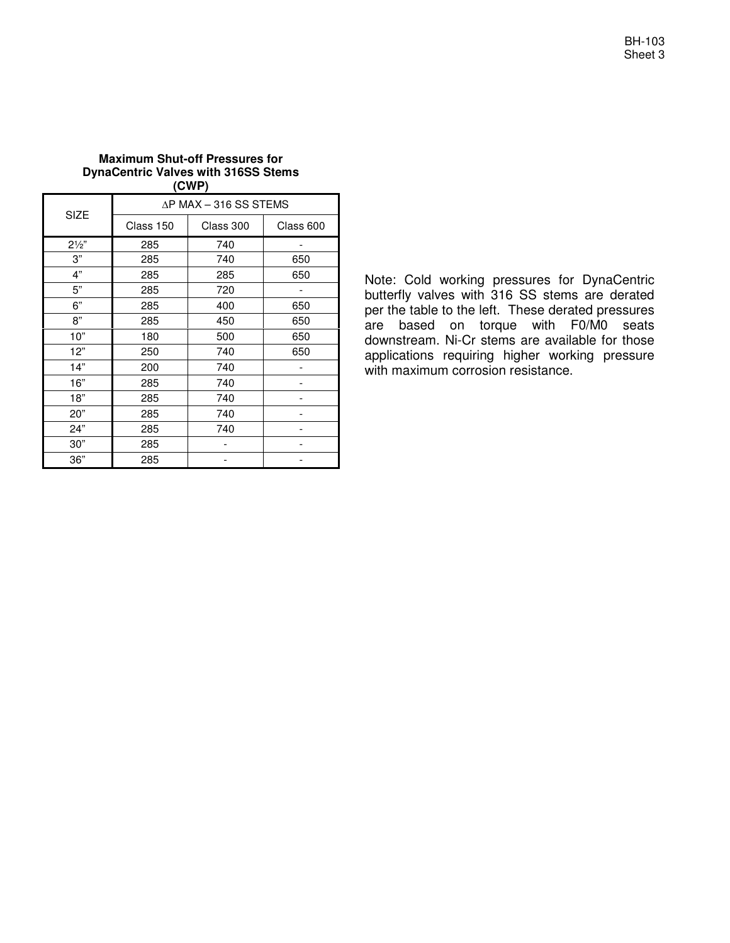| BH-103  |
|---------|
| Sheet 3 |

#### **Maximum Shut-off Pressures for DynaCentric Valves with 316SS Stems (CWP)**

|                |           | $\Delta$ P MAX – 316 SS STEMS |           |
|----------------|-----------|-------------------------------|-----------|
| <b>SIZE</b>    | Class 150 | Class 300                     | Class 600 |
| $2\frac{1}{2}$ | 285       | 740                           |           |
| 3"             | 285       | 740                           | 650       |
| 4"             | 285       | 285                           | 650       |
| 5"             | 285       | 720                           |           |
| 6"             | 285       | 400                           | 650       |
| 8"             | 285       | 450                           | 650       |
| 10"            | 180       | 500                           | 650       |
| 12"            | 250       | 740                           | 650       |
| 14"            | 200       | 740                           |           |
| 16"            | 285       | 740                           |           |
| 18"            | 285       | 740                           |           |
| 20"            | 285       | 740                           |           |
| 24"            | 285       | 740                           |           |
| 30"            | 285       |                               |           |
| 36"            | 285       |                               |           |

Note: Cold working pressures for DynaCentric butterfly valves with 316 SS stems are derated per the table to the left. These derated pressures are based on torque with F0/M0 seats downstream. Ni-Cr stems are available for those applications requiring higher working pressure with maximum corrosion resistance.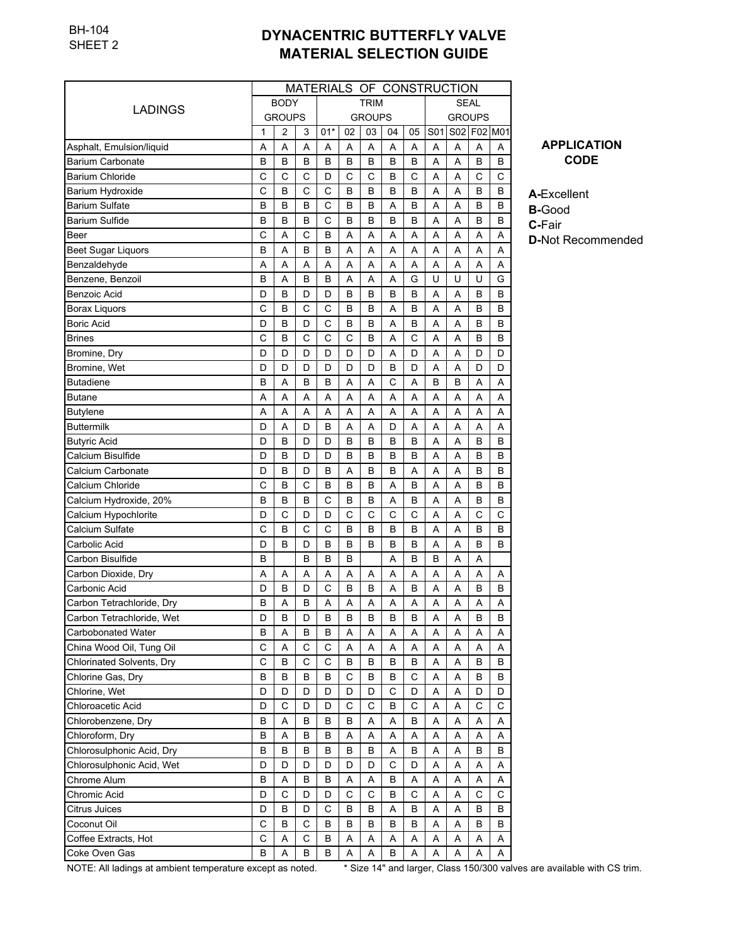|                                  |   | MATERIALS OF CONSTRUCTION |   |       |    |               |             |    |               |   |             |   |  |  |
|----------------------------------|---|---------------------------|---|-------|----|---------------|-------------|----|---------------|---|-------------|---|--|--|
| LADINGS                          |   | <b>BODY</b>               |   |       |    | <b>TRIM</b>   |             |    | <b>SEAL</b>   |   |             |   |  |  |
|                                  |   | <b>GROUPS</b>             |   |       |    | <b>GROUPS</b> |             |    | <b>GROUPS</b> |   |             |   |  |  |
|                                  | 1 | 2                         | 3 | $01*$ | 02 | 03            | 04          | 05 | S01           |   | S02 F02 M01 |   |  |  |
| Asphalt, Emulsion/liquid         | A | Α                         | A | Α     | Α  | Α             | A           | Α  | Α             | Α | A           | A |  |  |
| <b>Barium Carbonate</b>          | B | B                         | в | B     | B  | B             | B           | В  | A             | Α | B           | в |  |  |
| <b>Barium Chloride</b>           | C | С                         | C | D     | C  | С             | B           | C  | Α             | Α | С           | С |  |  |
| <b>Barium Hydroxide</b>          | C | B                         | C | C     | B  | B             | B           | B  | Α             | A | B           | B |  |  |
| <b>Barium Sulfate</b>            | B | B                         | в | C     | B  | в             | A           | В  | Α             | Α | B           | в |  |  |
| <b>Barium Sulfide</b>            | B | B                         | в | C     | B  | B             | B           | B  | Α             | Α | B           | В |  |  |
| Beer                             | C | Α                         | C | В     | A  | Α             | Α           | Α  | Α             | Α | A           | A |  |  |
| <b>Beet Sugar Liquors</b>        | B | Α                         | B | B     | Α  | Α             | A           | Α  | Α             | Α | A           | A |  |  |
| Benzaldehyde                     | Α | Α                         | Α | Α     | Α  | Α             | A           | Α  | Α             | Α | A           | Α |  |  |
| Benzene, Benzoil                 | B | Α                         | B | В     | Α  | Α             | A           | G  | U             | U | U           | G |  |  |
| <b>Benzoic Acid</b>              | D | B                         | D | D     | B  | B             | B           | В  | Α             | A | B           | B |  |  |
| <b>Borax Liquors</b>             | C | B                         | C | C     | B  | B             | A           | B  | Α             | Α | B           | В |  |  |
| <b>Boric Acid</b>                | D | B                         | D | C     | B  | B             | A           | B  | Α             | A | B           | в |  |  |
| <b>Brines</b>                    | C | B                         | C | C     | C  | B             | A           | C  | Α             | Α | B           | в |  |  |
| Bromine, Dry                     | D | D                         | D | D     | D  | D             | Α           | D  | Α             | Α | D           | D |  |  |
| Bromine, Wet                     | D | D                         | D | D     | D  | D             | B           | D  | Α             | Α | D           | D |  |  |
| <b>Butadiene</b>                 | B | Α                         | B | B     | A  | Α             | C           | A  | B             | B | A           | Α |  |  |
| <b>Butane</b>                    | A | A                         | A | A     | A  | Α             | A           | A  | A             | A | A           | A |  |  |
| <b>Butylene</b>                  | Α | Α                         | Α | Α     | Α  | Α             | Α           | Α  | Α             | Α | Α           | Α |  |  |
| <b>Buttermilk</b>                | D | Α                         | D | В     | Α  | Α             | D           | Α  | Α             | A | A           | Α |  |  |
| <b>Butyric Acid</b>              | D | B                         | D | D     | B  | B             | B           | B  | Α             | Α | B           | в |  |  |
| Calcium Bisulfide                | D | B                         | D | D     | B  | B             | B           | В  | Α             | Α | B           | В |  |  |
| Calcium Carbonate                | D | B                         | D | В     | Α  | B             | B           | Α  | Α             | Α | B           | в |  |  |
| Calcium Chloride                 | C | B                         | C | В     | B  | B             | Α           | B  | Α             | A | B           | B |  |  |
| Calcium Hydroxide, 20%           | B | B                         | B | C     | B  | B             | A           | B  | A             | A | B           | B |  |  |
| Calcium Hypochlorite             | D | C                         | D | D     | C  | C             | C           | C  | A             | A | C           | С |  |  |
| Calcium Sulfate                  | C | B                         | C | C     | B  | B             | B           | в  | A             | A | B           | в |  |  |
| Carbolic Acid                    | D | B                         | D | B     | B  | B             | B           | в  | Α             | A | B           | B |  |  |
| Carbon Bisulfide                 | B |                           | в | B     | B  |               | A           | B  | B             | Α | A           |   |  |  |
| Carbon Dioxide, Dry              | Α | Α                         | Α | Α     | Α  | Α             | A           | Α  | Α             | Α | A           | Α |  |  |
| Carbonic Acid                    | D | B                         | D | C     | B  | B             | Α           | B  | A             | Α | B           | B |  |  |
| Carbon Tetrachloride, Dry        | B | Α                         | в | Α     | Α  | Α             | Α           | Α  | Α             | Α | A           | Α |  |  |
| Carbon Tetrachloride, Wet        | D | В                         | D | B     | B  | B             | B           | B  | A             | A | B           | B |  |  |
| Carbobonated Water               | в | Α                         | в | В     | Α  | Α             | Α           | Α  | Α             | Α | Α           | Α |  |  |
| China Wood Oil, Tung Oil         | C | Α                         | C | C     | Α  | Α             | Α           | Α  | Α             | Α | Α           | Α |  |  |
| <b>Chlorinated Solvents, Dry</b> | C | В                         | С | С     | В  | В             | в           | В  | Α             | Α | В           | В |  |  |
| Chlorine Gas, Dry                | В | В                         | в | В     | C  | В             | В           | С  | Α             | Α | В           | B |  |  |
| Chlorine, Wet                    | D | D                         | D | D     | D  | D             | С           | D  | Α             | Α | D           | D |  |  |
| Chloroacetic Acid                | D | C                         | D | D     | C  | C             | В           | С  | Α             | Α | С           | С |  |  |
| Chlorobenzene, Dry               | В | Α                         | в | В     | В  | Α             | Α           | В  | Α             | Α | Α           | Α |  |  |
| Chloroform, Dry                  | В | Α                         | В | В     | Α  | Α             | Α           | Α  | Α             | Α | Α           | Α |  |  |
| Chlorosulphonic Acid, Dry        | В | B                         | в | В     | В  | В             | Α           | В  | Α             | Α | в           | В |  |  |
| Chlorosulphonic Acid, Wet        | D | D                         | D | D     | D  | D             | $\mathsf C$ | D  | A             | Α | А           | Α |  |  |
| Chrome Alum                      | В | Α                         | В | В     | Α  | Α             | В           | Α  | Α             | Α | Α           | Α |  |  |
| Chromic Acid                     | D | C                         | D | D     | C  | C             | в           | С  | Α             | Α | C           | C |  |  |
| <b>Citrus Juices</b>             | D | В                         | D | C     | В  | В             | Α           | В  | Α             | Α | В           | B |  |  |
| Coconut Oil                      | C | В                         | C | В     | B  | В             | B           | B  | Α             | Α | В           | B |  |  |
| Coffee Extracts, Hot             | C | Α                         | С | В     | Α  | Α             | Α           | Α  | Α             | Α | Α           | Α |  |  |
| Coke Oven Gas                    | В | Α                         | В | В     | Α  | Α             | В           | Α  | Α             | Α | Α           | Α |  |  |

**APPLICATION CODE**

**A-**Excellent **B-**Good

**C-**Fair

**D-**Not Recommended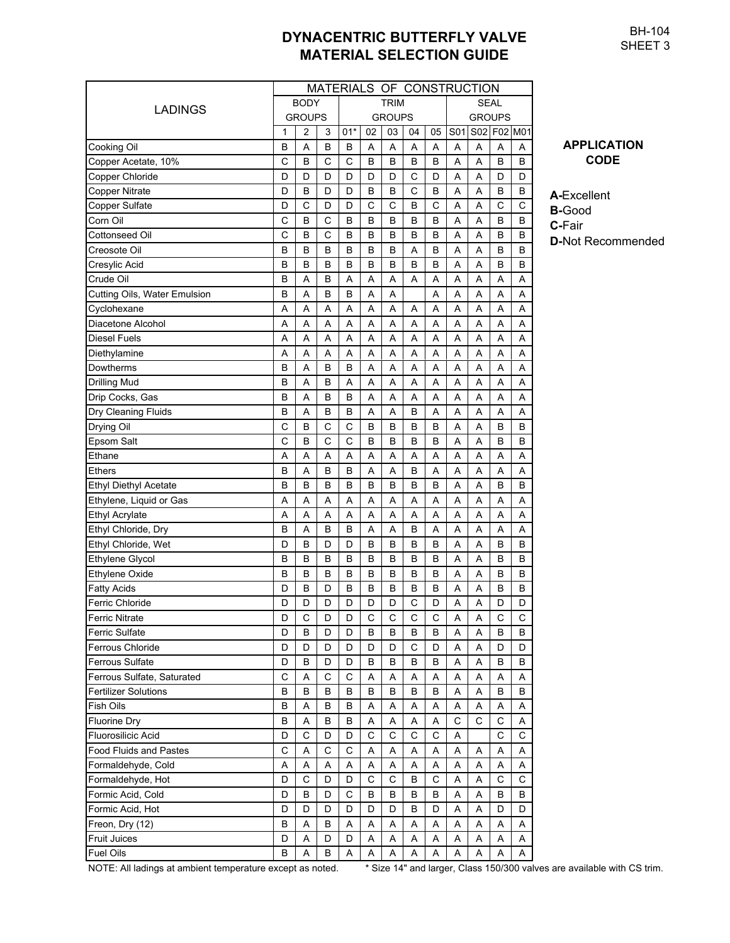BH-104 SHEET 3

| MATERIALS OF CONSTRUCTION     |               |                |             |       |             |               |             |             |               |   |             |             |  |  |  |
|-------------------------------|---------------|----------------|-------------|-------|-------------|---------------|-------------|-------------|---------------|---|-------------|-------------|--|--|--|
|                               |               | <b>BODY</b>    |             |       |             | <b>TRIM</b>   |             | <b>SEAL</b> |               |   |             |             |  |  |  |
| LADINGS                       | <b>GROUPS</b> |                |             |       |             | <b>GROUPS</b> |             |             | <b>GROUPS</b> |   |             |             |  |  |  |
|                               | 1             | $\overline{2}$ | 3           | $01*$ | 02          | 03            | 04          | 05          | S01           |   |             | S02 F02 M01 |  |  |  |
| Cooking Oil                   | в             | A              | B           | в     | Α           | Α             | A           | A           | Α             | Α | Α           | Α           |  |  |  |
| Copper Acetate, 10%           | C             | B              | C           | C     | B           | B             | B           | в           | Α             | Α | в           | B           |  |  |  |
| Copper Chloride               | D             | D              | D           | D     | D           | D             | С           | D           | Α             | Α | D           | D           |  |  |  |
| <b>Copper Nitrate</b>         | D             | B              | D           | D     | B           | B             | C           | B           | Α             | Α | в           | B           |  |  |  |
| <b>Copper Sulfate</b>         | D             | C              | D           | D     | C           | C             | B           | C           | A             | Α | C           | C           |  |  |  |
| Corn Oil                      | C             | B              | C           | B     | B           | B             | B           | B           | Α             | A | в           | B           |  |  |  |
| Cottonseed Oil                | С             | B              | C           | B     | B           | B             | B           | B           | Α             | Α | в           | B           |  |  |  |
| Creosote Oil                  | в             | B              | в           | B     | B           | B             | Α           | в           | Α             | Α | в           | B           |  |  |  |
| Cresylic Acid                 | в             | B              | в           | B     | B           | B             | B           | B           | A             | A | в           | B           |  |  |  |
| Crude Oil                     | в             | A              | B           | A     | Α           | A             | A           | A           | A             | A | A           | A           |  |  |  |
| Cutting Oils, Water Emulsion  | B             | A              | B           | B     | Α           | Α             |             | A           | A             | A | A           | Α           |  |  |  |
| Cyclohexane                   | Α             | Α              | Α           | A     | Α           | Α             | Α           | A           | A             | Α | Α           | A           |  |  |  |
| Diacetone Alcohol             | Α             | Α              | A           | A     | Α           | Α             | Α           | A           | A             | A | Α           | A           |  |  |  |
| Diesel Fuels                  | A             | A              | A           | A     | A           | A             | Α           | Α           | A             | Α | A           | Α           |  |  |  |
| Diethylamine                  | Α             | Α              | Α           | Α     | Α           | Α             | Α           | Α           | Α             | Α | Α           | Α           |  |  |  |
| Dowtherms                     | В             | Α              | B           | B     | Α           | Α             | Α           | A           | Α             | Α | Α           | A           |  |  |  |
| <b>Drilling Mud</b>           | В             | Α              | B           | Α     | Α           | Α             | Α           | Α           | Α             | A | Α           | A           |  |  |  |
| Drip Cocks, Gas               | B             | Α              | B           | B     | Α           | Α             | Α           | A           | A             | Α | Α           | A           |  |  |  |
|                               | B             | Α              | B           | В     | Α           | Α             | B           | A           | Α             | Α | Α           | A           |  |  |  |
| Dry Cleaning Fluids           | C             | B              | C           | C     | B           | B             | B           | B           | A             | A | в           | B           |  |  |  |
| Drying Oil                    | C             | B              | C           | C     | B           | B             | B           |             |               |   | B           |             |  |  |  |
| Epsom Salt                    |               |                |             |       |             |               |             | B           | A             | Α |             | B           |  |  |  |
| Ethane                        | A             | A              | A           | A     | A           | A             | A           | A           | A             | A | A           | A           |  |  |  |
| Ethers                        | в             | A              | B           | B     | Α           | A             | B           | Α           | Α             | A | A           | Α           |  |  |  |
| <b>Ethyl Diethyl Acetate</b>  | в             | B              | B           | B     | B           | B             | B           | B           | A             | A | B           | B           |  |  |  |
| Ethylene, Liquid or Gas       | Α             | Α              | Α           | Α     | Α           | Α             | Α           | Α           | Α             | Α | Α           | Α           |  |  |  |
| <b>Ethyl Acrylate</b>         | Α             | A              | A           | A     | A           | Α             | A           | A           | A             | A | A           | A           |  |  |  |
| Ethyl Chloride, Dry           | B             | A              | B           | B     | A           | A             | B           | A           | A             | A | A           | A           |  |  |  |
| Ethyl Chloride, Wet           | D             | B              | D           | D     | B           | B             | в           | B           | A             | A | в           | B           |  |  |  |
| Ethylene Glycol               | B             | B              | B           | B     | B           | B             | B           | в           | A             | Α | B           | B           |  |  |  |
| Ethylene Oxide                | B             | B              | B           | B     | B           | B             | B           | B           | Α             | Α | B           | B           |  |  |  |
| Fatty Acids                   | D             | B              | D           | В     | B           | B             | B           | B           | A             | Α | в           | B           |  |  |  |
| Ferric Chloride               | D             | D              | D           | D     | D           | D             | C           | D           | Α             | Α | D           | D           |  |  |  |
| <b>Ferric Nitrate</b>         | D             | С              | D           | D     | С           | С             | С           | С           | A             | Α | С           | С           |  |  |  |
| <b>Ferric Sulfate</b>         | D             | B              | D           | D     | B           | В             | В           | В           | Α             | Α | В           | B           |  |  |  |
| Ferrous Chloride              | D             | D              | D           | D     | D           | D             | $\mathsf C$ | D           | Α             | Α | D           | D           |  |  |  |
| <b>Ferrous Sulfate</b>        | D             | B              | D           | D     | B           | B             | B           | В           | Α             | Α | В           | В           |  |  |  |
| Ferrous Sulfate, Saturated    | $\mathsf{C}$  | Α              | $\mathsf C$ | C     | Α           | Α             | Α           | Α           | Α             | Α | Α           | Α           |  |  |  |
| <b>Fertilizer Solutions</b>   | B             | B              | B           | B     | B           | B             | B           | B           | Α             | Α | B           | B           |  |  |  |
| <b>Fish Oils</b>              | B             | A              | B           | B     | A           | Α             | Α           | A           | А             | Α | A           | Α           |  |  |  |
| <b>Fluorine Dry</b>           | В             | A              | В           | В     | Α           | А             | Α           | Α           | C             | C | C           | Α           |  |  |  |
| Fluorosilicic Acid            | D             | C              | D           | D     | $\mathsf C$ | $\mathsf C$   | $\mathsf C$ | C           | Α             |   | $\mathsf C$ | C           |  |  |  |
| <b>Food Fluids and Pastes</b> | C             | Α              | C           | C     | Α           | Α             | Α           | Α           | Α             | Α | Α           | Α           |  |  |  |
| Formaldehyde, Cold            | Α             | A              | A           | Α     | Α           | Α             | Α           | A           | A             | Α | Α           | Α           |  |  |  |
| Formaldehyde, Hot             | D             | C              | D           | D     | C           | C             | B           | C           | Α             | Α | C           | C           |  |  |  |
| Formic Acid, Cold             | D             | B              | D           | C     | B           | В             | В           | В           | Α             | Α | В           | В           |  |  |  |
| Formic Acid, Hot              | D             | D              | D           | D     | D           | D             | В           | D           | Α             | Α | D           | D           |  |  |  |
| Freon, Dry (12)               | B             | A              | B           | Α     | Α           | Α             | Α           | Α           | Α             | Α | Α           | Α           |  |  |  |
| <b>Fruit Juices</b>           | D             | Α              | D           | D     | A           | Α             | A           | Α           | A             | Α | Α           | Α           |  |  |  |
| <b>Fuel Oils</b>              | В             | Α              | В           | Α     | Α           | Α             | A           | Α           | Α             | Α | Α           | Α           |  |  |  |

**APPLICATION CODE**

**A-**Excellent **B-**Good **C-**Fair

**D-**Not Recommended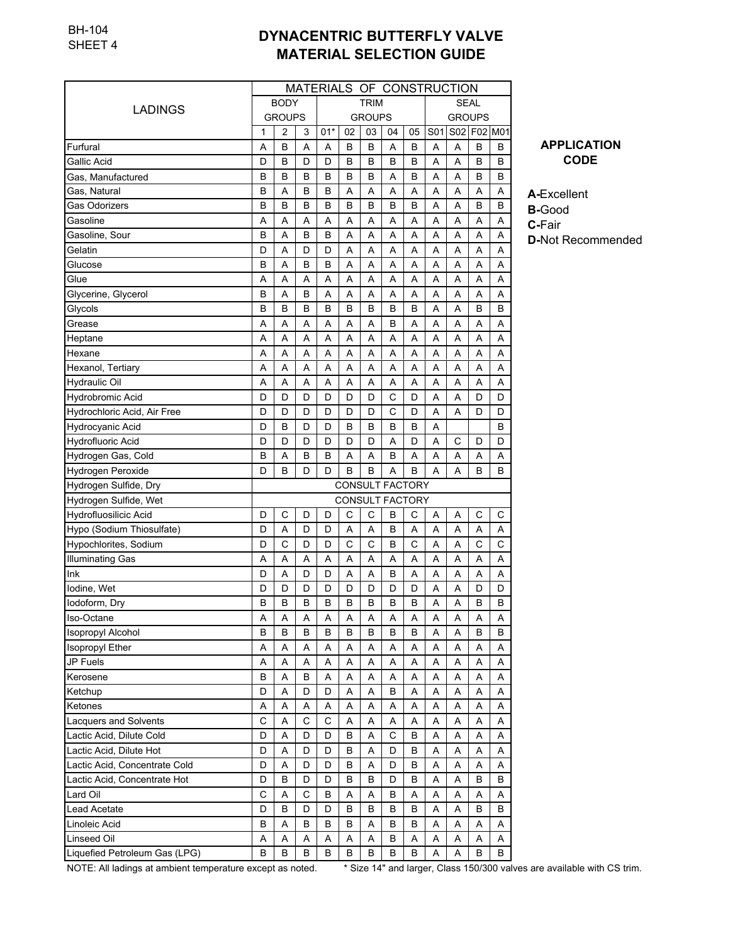|                               | MATERIALS OF CONSTRUCTION |               |        |        |        |               |                 |        |             |        |               |         |  |
|-------------------------------|---------------------------|---------------|--------|--------|--------|---------------|-----------------|--------|-------------|--------|---------------|---------|--|
| LADINGS                       |                           | <b>BODY</b>   |        |        |        | <b>TRIM</b>   |                 |        | <b>SEAL</b> |        |               |         |  |
|                               |                           | <b>GROUPS</b> |        |        |        | <b>GROUPS</b> |                 |        |             |        | <b>GROUPS</b> |         |  |
|                               | 1                         | 2             | 3      | $01*$  | 02     | 03            | 04              | 05     | S01         |        | S02 F02 M01   |         |  |
| Furfural                      | Α                         | B             | A      | A      | B      | B             | Α               | B      | A           | A      | B             | В       |  |
| Gallic Acid                   | D                         | B             | D      | D      | B      | В             | B               | в      | Α           | Α      | B             | в       |  |
| Gas, Manufactured             | В                         | B             | B      | в      | B      | В             | Α               | в      | Α           | Α      | B             | в       |  |
| Gas, Natural                  | В                         | Α             | B      | в      | Α      | Α             | Α               | Α      | Α           | Α      | Α             | Α       |  |
| Gas Odorizers                 | B                         | B             | B      | в      | B      | B             | B               | B      | Α           | Α      | B             | B       |  |
| Gasoline                      | Α                         | Α             | A      | Α      | Α      | Α             | Α               | Α      | Α           | Α      | Α             | A       |  |
| Gasoline, Sour                | В                         | A             | B      | в      | Α      | A             | Α               | Α      | Α           | Α      | Α             | Α       |  |
| Gelatin                       | D                         | A             | D      | D      | Α      | Α             | Α               | Α      | Α           | Α      | A             | A       |  |
| Glucose                       | B                         | A             | B      | B      | Α      | Α             | Α               | Α      | Α           | Α      | A             | A       |  |
| Glue                          | Α                         | A             | Α      | Α      | Α      | Α             | Α               | Α      | Α           | Α      | Α             | Α       |  |
| Glycerine, Glycerol           | В                         | A             | B      | A      | Α      | A             | Α               | Α      | A           | Α      | Α             | Α       |  |
| Glycols                       | В                         | B             | B      | в      | B      | B             | B               | в      | Α           | A      | B             | B       |  |
| Grease                        | Α                         | A             | Α      | Α      | A      | A             | B               | Α      | Α           | Α      | A             | Α       |  |
| Heptane                       | Α                         | A             | Α      | A      | Α      | Α             | A               | A      | A           | Α      | A             | Α       |  |
| Hexane                        | Α                         | A             | A      | A      | A      | A             | A               | A      | A           | Α      | A             | A       |  |
| Hexanol, Tertiary             | Α                         | A             | A      | Α      | Α      | A             | Α               | Α      | Α           | Α      | A             | A       |  |
| <b>Hydraulic Oil</b>          | A                         | A             | A      | A      | A      | A             | Α               | A      | A           | Α      | A             | A       |  |
| Hydrobromic Acid              | D                         | D             | D      | D      | D      | D             | C               | D      | Α           | Α      | D             | D       |  |
| Hydrochloric Acid, Air Free   | D                         | D             | D      | D      | D      | D             | C               | D      | Α           | A      | D             | D       |  |
| Hydrocyanic Acid              | D                         | B             | D      | D      | в      | в             | B               | B      | Α           |        |               | в       |  |
| Hydrofluoric Acid             | D                         | D             | D      | D      | D      | D             | Α               | D      | Α           | С      | D             | D       |  |
| Hydrogen Gas, Cold            | В                         | A             | В      | в      | Α      | Α             | B               | A      | Α           | Α      | Α             | Α       |  |
| Hydrogen Peroxide             | D                         | B             | D      | D      | B      | B             | A               | в      | A           | Α      | B             | В       |  |
| Hydrogen Sulfide, Dry         | <b>CONSULT FACTORY</b>    |               |        |        |        |               |                 |        |             |        |               |         |  |
| Hydrogen Sulfide, Wet         |                           |               |        |        |        |               | CONSULT FACTORY |        |             |        |               |         |  |
| Hydrofluosilicic Acid         | D                         | C             | D      | D      | C      | C             | В               | С      | Α           | Α      | C             | С       |  |
| Hypo (Sodium Thiosulfate)     | D                         | A             | D      | D      | Α      | Α             | B               | Α      | Α           | Α      | Α             | Α       |  |
| Hypochlorites, Sodium         | D                         | C             | D      | D      | C      | С             | B               | C      | A           | A      | C             | C       |  |
| Illuminating Gas              | A                         | A             | Α      | Α      | Α      | A             | Α               | Α      | Α           | Α      | Α             | Α       |  |
| lnk                           | D                         | A             | D      | D      | Α      | Α             | в               | Α      | A           | Α      | Α             | A       |  |
| Iodine, Wet                   | D                         | D             | D      | D      | D      | D             | D               | D      | A           | Α      | D             | D       |  |
| lodoform, Dry                 | В                         | B             | B      | в      | B      | B             | B               | в      | Α           | Α      | B             | в       |  |
| Iso-Octane                    | Α                         | A             | A      | A      | A      | A             | A               | A      | A           | A      | A             | $\sf A$ |  |
| <b>Isopropyl Alcohol</b>      | B                         | B             | в      | В      | B      | B             | В               | В      | Α           | Α      | в             | B       |  |
| Isopropyl Ether               | Α                         | Α             | Α      | Α      | Α      | Α             | Α               | Α      | Α           | Α      | Α             | Α       |  |
| JP Fuels                      | Α                         | Α             | Α      | Α      | Α      | Α             | Α               | Α      | Α           | Α      | Α             | Α       |  |
| Kerosene                      | В                         | Α             | В      | Α      | Α      | Α             | Α               | Α      | Α           | Α      | Α             | Α       |  |
| Ketchup                       | D                         | Α             | D      | D      | Α      | Α             | в               | Α      | Α           | Α      | Α             | Α       |  |
| Ketones                       | Α                         | Α             | Α      | Α      | Α      | Α             | Α               | Α      | Α           | Α      | Α             | Α       |  |
| <b>Lacquers and Solvents</b>  | C                         | Α             | C      | C      | Α      | Α             | Α               | Α      | Α           | Α      | Α             | Α       |  |
| Lactic Acid, Dilute Cold      | D                         | Α             | D      | D      | В      | Α             | С               | В      | Α           | Α      | Α             | Α       |  |
| Lactic Acid, Dilute Hot       |                           |               |        |        |        |               |                 |        |             |        |               |         |  |
| Lactic Acid, Concentrate Cold | D<br>D                    | Α<br>Α        | D<br>D | D<br>D | B<br>B | Α<br>Α        | D<br>D          | В<br>В | Α<br>Α      | Α<br>Α | Α<br>Α        | Α<br>Α  |  |
| Lactic Acid, Concentrate Hot  | D                         | B             | D      | D      | B      | в             | D               | B      | A           | Α      | B             | B       |  |
| Lard Oil                      | С                         | Α             | C      | В      | Α      | Α             | в               | Α      | Α           | Α      | Α             |         |  |
|                               | D                         |               | D      | D      |        |               |                 |        |             |        |               | Α<br>B  |  |
| Lead Acetate                  |                           | В             |        |        | В      | В             | в               | В      | Α           | Α      | В             |         |  |
| Linoleic Acid                 | в                         | Α             | в      | B      | В      | Α             | в               | в      | Α           | Α      | Α             | A       |  |
| Linseed Oil                   | Α                         | Α             | Α      | Α      | Α      | Α             | В               | Α      | Α           | Α      | A             | Α       |  |
| Liquefied Petroleum Gas (LPG) | В                         | B             | В      | В      | B      | В             | В               | В      | Α           | Α      | В             | В       |  |

**APPLICATION CODE**

**A-**Excellent **B-**Good

**C-**Fair

**D-**Not Recommended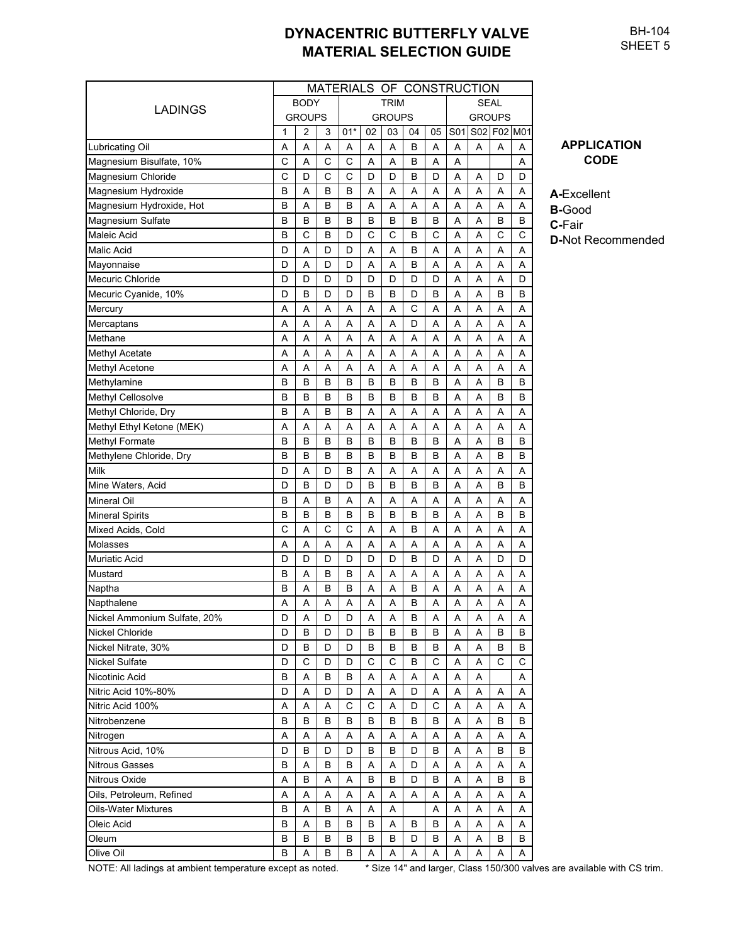MATERIALS OF CONSTRUCTION BODY TRIM SEAL GROUPS GROUPS GROUPS  $1 \mid 2 \mid 3 \mid 01^{*} \mid 02 \mid 03 \mid 04 \mid 05 \mid S01 \mid S02 \mid F02 \mid M01$ Lubricating Oil AAAAAABAAAAA Magnesium Bisulfate, 10%  $|C|A|C|C|A|A|B|A|A|$  | | | A Magnesium Chloride CDCDCCDDDBDAADDD Magnesium Hydroxide BABABBAAAAAAAAAA Magnesium Hydroxide, Hot BABBAAAAAAAA Magnesium Sulfate BBBBBBBBBBBAABBB Maleic Acid B C B D C C B C A A C C Malic Acid D A D D AABAAAAA Mayonnaise D A D D AABAAAAA Mecuric Chloride DDDDDDDDDDDDAAAD Mecuric Cyanide, 10% D B D D B B D BAABB Mercury AAAAAACAAAAA Mercaptans | AAAAAAADAAAAAA Methane AAAAAAAAAAAA Methyl Acetate AAAAAAAAAAAA Methyl Acetone AAAAAAAAAAAA Methylamine **BBBBBBBBBAABBB** Methyl Cellosolve BBBBBBBBAABB Methyl Chloride, Dry **BABBAAAAAA**AAAAA Methyl Ethyl Ketone (MEK) AAAAAAAAAAAA Methyl Formate BBBBBBBBAABB Methylene Chloride, Dry BBBBBBBBAABB Milk D | D | A | D | B | A | A | A | A | A | A | A Mine Waters, Acid D B D D BBBBAABB Mineral Oil BABAAAAAAAAA Mineral Spirits BBBBBBBBAABB Mixed Acids, Cold CACCAABAAAAA Molasses AAAAAAAAAAAA Muriatic Acid DDDDDDBDAADD Mustard BABBAAAAAAAAAAA Naptha BABBAABAAAAAAA Napthalene AAAAAABAAAAA Nickel Ammonium Sulfate, 20% D A D D A A B A A A A A A Nickel Chloride D B D B D D B B B A A B B Nickel Nitrate, 30% D B D D BBBBAABB Nickel Sulfate | DCDDDCCBCAACC Nicotinic Acid BABBAAAAAA A Nitric Acid 10%-80% D A D D A A D AAAAA Nitric Acid 100% A A A A A C C A D C A A A A Nitrobenzene **BBBBBBBBBBAAABB** Nitrogen AAAAAAAAAAAA Nitrous Acid, 10% D B D D B B D BAABB Nitrous Gasses BABBAADAAAAAA Nitrous Oxide ABAABBDBAABB Oils, Petroleum, Refined  $A \mid A \mid A \mid A \mid A \mid A \mid A \mid A \mid A \mid A \mid A$ Oils-Water Mixtures BABABAAA AAAAAAAA Oleic Acid BABBBABBAAAA Oleum BBBBBBBBDBAABB Olive Oil BABBAAAAAAAA LADINGS

**APPLICATION CODE**

**A-**Excellent **B-**Good **C-**Fair

**D-**Not Recommended

NOTE: All ladings at ambient temperature except as noted. \* Size 14" and larger, Class 150/300 valves are available with CS trim.

BH-104 SHEET<sub>5</sub>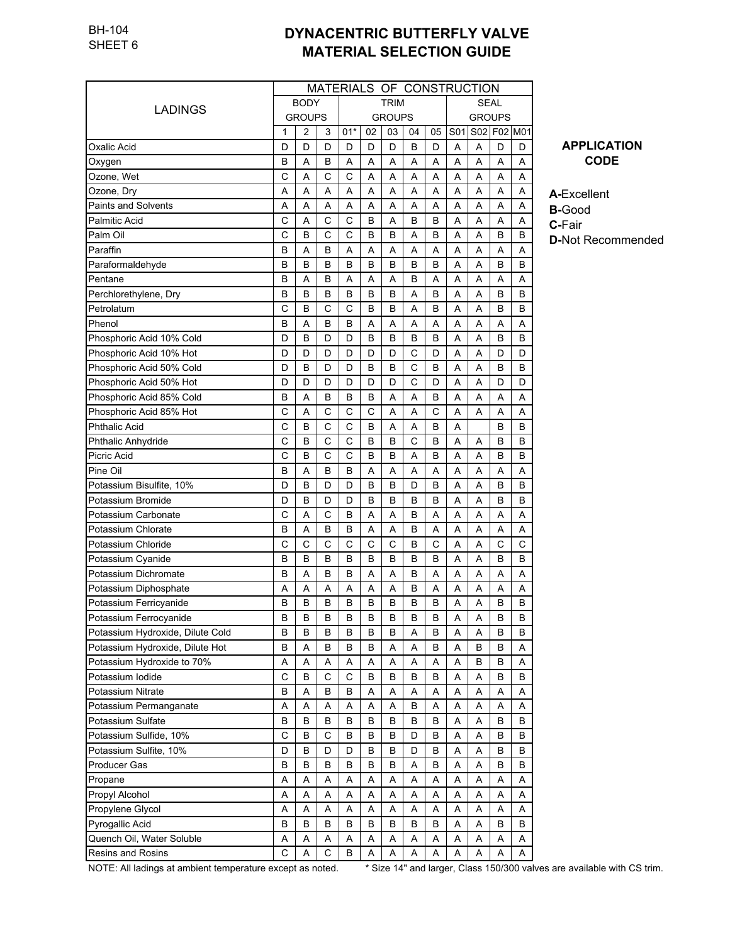|                                  |   | MATERIALS OF CONSTRUCTION |             |             |             |               |    |             |               |   |   |             |  |  |
|----------------------------------|---|---------------------------|-------------|-------------|-------------|---------------|----|-------------|---------------|---|---|-------------|--|--|
|                                  |   | <b>BODY</b>               |             |             | <b>TRIM</b> |               |    | <b>SEAL</b> |               |   |   |             |  |  |
| LADINGS                          |   | <b>GROUPS</b>             |             |             |             | <b>GROUPS</b> |    |             | <b>GROUPS</b> |   |   |             |  |  |
|                                  | 1 | 2                         | 3           | $01*$       | 02          | 03            | 04 | 05          | S01           |   |   | S02 F02 M01 |  |  |
| Oxalic Acid                      | D | D                         | D           | D           | D           | D             | B  | D           | Α             | Α | D | D           |  |  |
| Oxygen                           | B | A                         | в           | Α           | Α           | Α             | Α  | Α           | Α             | Α | A | A           |  |  |
| Ozone, Wet                       | C | A                         | C           | C           | Α           | Α             | Α  | Α           | Α             | Α | A | Α           |  |  |
| Ozone, Dry                       | A | A                         | Α           | A           | Α           | A             | Α  | Α           | A             | Α | A | Α           |  |  |
| <b>Paints and Solvents</b>       | Α | A                         | Α           | A           | A           | A             | A  | Α           | Α             | A | A | Α           |  |  |
| Palmitic Acid                    | С | A                         | C           | C           | B           | A             | B  | в           | A             | Α | A | A           |  |  |
| Palm Oil                         | С | B                         | C           | C           | B           | B             | Α  | в           | A             | Α | B | B           |  |  |
| Paraffin                         | В | A                         | в           | A           | Α           | A             | Α  | Α           | A             | Α | A | A           |  |  |
| Paraformaldehyde                 | В | B                         | B           | B           | B           | B             | B  | В           | A             | Α | B | B           |  |  |
| Pentane                          | B | A                         | B           | A           | Α           | Α             | B  | Α           | Α             | Α | A | A           |  |  |
| Perchlorethylene, Dry            | B | B                         | B           | В           | B           | B             | Α  | B           | A             | Α | B | в           |  |  |
| Petrolatum                       | Ċ | B                         | C           | C           | B           | B             | Α  | В           | Α             | Α | B | в           |  |  |
| Phenol                           | В | A                         | B           | B           | Α           | Α             | Α  | Α           | Α             | Α | Α | Α           |  |  |
| Phosphoric Acid 10% Cold         | D | B                         | D           | D           | B           | B             | B  | В           | Α             | A | B | В           |  |  |
| Phosphoric Acid 10% Hot          | D | D                         | D           | D           | D           | D             | С  | D           | A             | Α | D | D           |  |  |
| Phosphoric Acid 50% Cold         | D | B                         | D           | D           | B           | B             | C  | B           | Α             | Α | B | В           |  |  |
| Phosphoric Acid 50% Hot          | D | D                         | D           | D           | D           | D             | C  | D           | Α             | Α | D | D           |  |  |
| Phosphoric Acid 85% Cold         | В | A                         | B           | В           | B           | A             | Α  | В           | A             | Α | A | A           |  |  |
| Phosphoric Acid 85% Hot          | С | A                         | C           | C           | C           | Α             | A  | C           | A             | Α | A | A           |  |  |
| <b>Phthalic Acid</b>             | C | B                         | C           | C           | B           | A             | A  | B           | A             |   | B | B           |  |  |
| Phthalic Anhydride               | С | B                         | С           | C           | B           | в             | C  | В           | Α             | Α | в | в           |  |  |
| Picric Acid                      | C | B                         | C           | C           | B           | в             | Α  | В           | A             | A | B | в           |  |  |
| Pine Oil                         | B | A                         | B           | В           | A           | A             | A  | A           | A             | A | A | Α           |  |  |
| Potassium Bisulfite, 10%         | D | B                         | D           | D           | B           | B             | D  | В           | A             | Α | B | B           |  |  |
| Potassium Bromide                | D | B                         | D           | D           | B           | в             | в  | В           | A             | Α | B | В           |  |  |
| Potassium Carbonate              | C | Α                         | C           | В           | A           | Α             | B  | A           | A             | Α | A | A           |  |  |
| Potassium Chlorate               | B | A                         | B           | B           | A           | A             | B  | Α           | A             | Α | A | A           |  |  |
| Potassium Chloride               | C | C                         | C           | С           | C           | С             | B  | C           | A             | Α | C | С           |  |  |
| Potassium Cyanide                | B | B                         | B           | В           | B           | в             | B  | В           | Α             | Α | B | В           |  |  |
| Potassium Dichromate             | В | Α                         | B           | В           | Α           | A             | B  | Α           | Α             | Α | Α | Α           |  |  |
| Potassium Diphosphate            | Α | Α                         | Α           | Α           | Α           | Α             | B  | Α           | Α             | Α | Α | Α           |  |  |
| Potassium Ferricyanide           | B | B                         | B           | В           | B           | B             | B  | В           | A             | Α | B | В           |  |  |
| Potassium Ferrocyanide           | В | В                         | в           | В           | В           | В             | В  | В           | Α             | A | В | B           |  |  |
| Potassium Hydroxide, Dilute Cold | B | в                         | В           | В           | B           | В             | Α  | В           | Α             | Α | В | В           |  |  |
| Potassium Hydroxide, Dilute Hot  | B | Α                         | B           | B           | B           | Α             | Α  | B           | Α             | B | В | Α           |  |  |
| Potassium Hydroxide to 70%       | Α | Α                         | Α           | Α           | A           | Α             | Α  | Α           | Α             | B | В | Α           |  |  |
| Potassium lodide                 | C | B                         | $\mathsf C$ | $\mathsf C$ | B           | В             | B  | В           | Α             | Α | В | B           |  |  |
| Potassium Nitrate                | В | Α                         | В           | В           | Α           | Α             | Α  | Α           | Α             | Α | Α | Α           |  |  |
| Potassium Permanganate           | Α | Α                         | Α           | Α           | Α           | Α             | В  | Α           | Α             | Α | Α | Α           |  |  |
| Potassium Sulfate                | B | B                         | в           | В           | B           | в             | B  | В           | Α             | Α | В | B           |  |  |
| Potassium Sulfide, 10%           | C | B                         | C           | В           | В           | B             | D  | В           | Α             | Α | В | B           |  |  |
| Potassium Sulfite, 10%           | D | B                         | D           | D           | В           | В             | D  | В           | Α             | Α | В | B           |  |  |
| Producer Gas                     | В | B                         | в           | В           | В           | в             | Α  | В           | Α             | Α | В | В           |  |  |
| Propane                          | Α | Α                         | Α           | Α           | Α           | Α             | Α  | Α           | Α             | Α | Α | Α           |  |  |
| Propyl Alcohol                   | Α | Α                         | Α           | Α           | Α           | Α             | Α  | Α           | Α             | Α | Α | Α           |  |  |
| Propylene Glycol                 | Α | Α                         | Α           | Α           | Α           | Α             | Α  | Α           | Α             | Α | Α | Α           |  |  |
| Pyrogallic Acid                  | В | В                         | В           | В           | в           | В             | В  | В           | Α             | Α | В | В           |  |  |
| Quench Oil, Water Soluble        | Α | Α                         | Α           | Α           | Α           | Α             | Α  | Α           | Α             | Α | Α | A           |  |  |
| Resins and Rosins                | C | Α                         | C           | В           | Α           | Α             | Α  | Α           | Α             | Α | A | Α           |  |  |
|                                  |   |                           |             |             |             |               |    |             |               |   |   |             |  |  |

**APPLICATION CODE**

**A-**Excellent

**B-**Good **C-**Fair

**D-**Not Recommended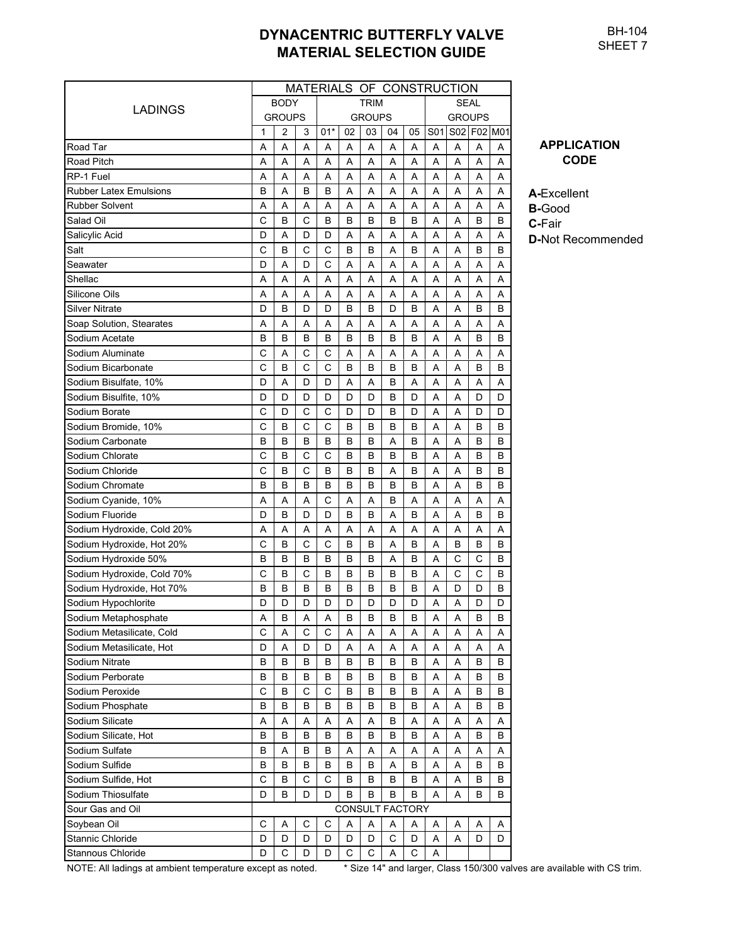BH-104 SHEET 7

| MATERIALS OF CONSTRUCTION  |   |                |   |       |    |               |                 |      |               |   |             |   |  |  |  |
|----------------------------|---|----------------|---|-------|----|---------------|-----------------|------|---------------|---|-------------|---|--|--|--|
|                            |   | <b>BODY</b>    |   |       |    | <b>TRIM</b>   |                 | SEAL |               |   |             |   |  |  |  |
| LADINGS                    |   | <b>GROUPS</b>  |   |       |    | <b>GROUPS</b> |                 |      | <b>GROUPS</b> |   |             |   |  |  |  |
|                            | 1 | $\overline{2}$ | 3 | $01*$ | 02 | 03            | 04              | 05   | S01           |   | S02 F02 M01 |   |  |  |  |
| Road Tar                   | A | A              | Α | A     | Α  | Α             | Α               | Α    | A             | A | Α           | Α |  |  |  |
| Road Pitch                 | Α | A              | Α | A     | A  | Α             | Α               | Α    | Α             | Α | Α           | Α |  |  |  |
| RP-1 Fuel                  | A | A              | Α | A     | A  | Α             | A               | Α    | A             | A | Α           | Α |  |  |  |
| Rubber Latex Emulsions     | B | A              | в | B     | Α  | Α             | Α               | A    | A             | A | Α           | Α |  |  |  |
| <b>Rubber Solvent</b>      | Α | Α              | Α | A     | A  | Α             | Α               | Α    | A             | Α | Α           | Α |  |  |  |
| Salad Oil                  | C | B              | С | B     | B  | B             | B               | B    | A             | Α | В           | B |  |  |  |
| Salicylic Acid             | D | A              | D | D     | A  | Α             | Α               | Α    | A             | A | Α           | Α |  |  |  |
| Salt                       | C | B              | C | C     | B  | B             | Α               | В    | A             | A | B           | B |  |  |  |
| Seawater                   | D | A              | D | C     | Α  | Α             | Α               | Α    | Α             | A | Α           | Α |  |  |  |
| Shellac                    | A | A              | Α | A     | A  | A             | A               | A    | A             | A | Α           | A |  |  |  |
| Silicone Oils              | A | A              | A | A     | Α  | A             | Α               | A    | A             | Α | Α           | A |  |  |  |
| Silver Nitrate             | D | B              | D | D     | B  | B             | D               | В    | A             | Α | B           | B |  |  |  |
| Soap Solution, Stearates   | A | A              | A | A     | Α  | Α             | Α               | A    | A             | Α | Α           | Α |  |  |  |
| Sodium Acetate             | B | B              | в | B     | B  | B             | в               | В    | A             | A | B           | B |  |  |  |
| Sodium Aluminate           | C | Α              | С | С     | Α  | Α             | Α               | Α    | Α             | Α | Α           | Α |  |  |  |
| Sodium Bicarbonate         | C | B              | C | C     | B  | B             | B               | B    | A             | Α | В           | B |  |  |  |
| Sodium Bisulfate. 10%      | D | A              | D | D     | A  | Α             | B               | Α    | Α             | Α | Α           | Α |  |  |  |
| Sodium Bisulfite, 10%      | D | D              | D | D     | D  | D             | в               | D    | Α             | Α | D           | D |  |  |  |
| Sodium Borate              | C | D              | С | С     | D  | D             | в               | D    | A             | Α | D           | D |  |  |  |
| Sodium Bromide, 10%        | C | B              | C | C     | B  | B             | в               | В    | A             | A | В           | B |  |  |  |
| Sodium Carbonate           | B | B              | B | B     | B  | B             | Α               | в    | A             | A | B           | B |  |  |  |
| Sodium Chlorate            | C | B              | C | C     | B  | B             | в               | B    | A             | A | B           | B |  |  |  |
| Sodium Chloride            | C | B              | С | B     | B  | B             | Α               | в    | Α             | Α | B           | B |  |  |  |
| Sodium Chromate            | B | B              | В | B     | B  | B             | B               | в    | A             | A | В           | B |  |  |  |
| Sodium Cyanide, 10%        | Α | Α              | A | C     | Α  | Α             | B               | Α    | A             | Α | Α           | Α |  |  |  |
| Sodium Fluoride            | D | B              | D | D     | B  | B             | A               | в    | A             | A | в           | B |  |  |  |
| Sodium Hydroxide, Cold 20% | Α | A              | Α | A     | A  | Α             | A               | A    | A             | A | Α           | A |  |  |  |
| Sodium Hydroxide, Hot 20%  | C | B              | C | C     | B  | B             | Α               | в    | A             | B | В           | B |  |  |  |
| Sodium Hydroxide 50%       | B | B              | B | B     | B  | В             | Α               | в    | A             | C | C           | B |  |  |  |
| Sodium Hydroxide, Cold 70% | C | B              | C | B     | B  | B             | B               | в    | A             | C | C           | B |  |  |  |
| Sodium Hydroxide, Hot 70%  | B | B              | В | в     | B  | B             | в               | в    | A             | D | D           | В |  |  |  |
| Sodium Hypochlorite        | D | D              | D | D     | D  | D             | D               | D    | A             | A | D           | D |  |  |  |
| Sodium Metaphosphate       | A | B              | Α | A     | В  | В             | В               | B    | A             | A | В           | В |  |  |  |
| Sodium Metasilicate, Cold  | C | Α              | C | С     | Α  | Α             | Α               | Α    | Α             | A | Α           | Α |  |  |  |
| Sodium Metasilicate, Hot   | D | Α              | D | D     | Α  | Α             | Α               | Α    | Α             | Α | Α           | Α |  |  |  |
| Sodium Nitrate             | В | В              | В | В     | в  | В             | в               | B    | Α             | Α | в           | В |  |  |  |
| Sodium Perborate           | B | B              | В | B     | В  | В             | В               | В    | Α             | Α | в           | B |  |  |  |
| Sodium Peroxide            | C | B              | C | C     | в  | В             | В               | В    | Α             | Α | в           | В |  |  |  |
| Sodium Phosphate           | B | B              | В | B     | B  | B             | В               | В    | Α             | Α | В           | B |  |  |  |
| Sodium Silicate            | Α | Α              | Α | Α     | Α  | Α             | В               | Α    | Α             | Α | Α           | Α |  |  |  |
| Sodium Silicate, Hot       | В | B              | В | В     | В  | В             | В               | В    | Α             | Α | В           | B |  |  |  |
| Sodium Sulfate             | B | Α              | В | B     | Α  | Α             | Α               | Α    | Α             | Α | Α           | Α |  |  |  |
| Sodium Sulfide             | B | B              | В | B     | B  | В             | Α               | В    | Α             | A | B           | B |  |  |  |
| Sodium Sulfide, Hot        | C | B              | C | С     | В  | В             | В               | В    | Α             | Α | в           | B |  |  |  |
| Sodium Thiosulfate         | D | B              | D | D     | В  | В             | В               | В    | A             | Α | в           | B |  |  |  |
| Sour Gas and Oil           |   |                |   |       |    |               | CONSULT FACTORY |      |               |   |             |   |  |  |  |
| Soybean Oil                | C | Α              | C | С     | Α  | Α             | Α               | A    | Α             | Α | A           | Α |  |  |  |
| Stannic Chloride           | D | D              | D | D     | D  | D             | С               | D    | Α             | Α | D           | D |  |  |  |
| Stannous Chloride          | D | C              | D | D     | С  | С             | Α               | С    | Α             |   |             |   |  |  |  |

#### **APPLICATION CODE**

**A-**Excellent **B-**Good **C-**Fair

**D-**Not Recommended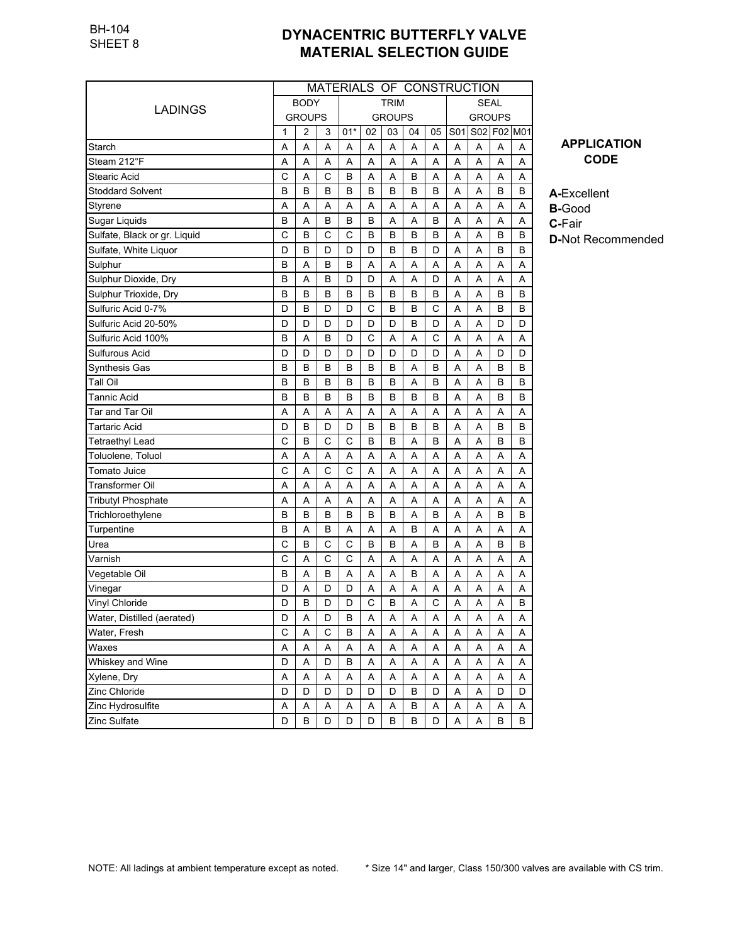|                              | MATERIALS OF CONSTRUCTION |               |   |       |    |               |    |             |               |   |             |   |  |
|------------------------------|---------------------------|---------------|---|-------|----|---------------|----|-------------|---------------|---|-------------|---|--|
|                              |                           | <b>BODY</b>   |   |       |    | <b>TRIM</b>   |    | <b>SEAL</b> |               |   |             |   |  |
| LADINGS                      |                           | <b>GROUPS</b> |   |       |    | <b>GROUPS</b> |    |             | <b>GROUPS</b> |   |             |   |  |
|                              | 1                         | 2             | 3 | $01*$ | 02 | 03            | 04 | 05          | S01           |   | S02 F02 M01 |   |  |
| Starch                       | Α                         | Α             | Α | Α     | Α  | Α             | Α  | A           | Α             | Α | Α           | Α |  |
| Steam 212°F                  | Α                         | Α             | Α | Α     | Α  | A             | Α  | A           | Α             | Α | Α           | Α |  |
| Stearic Acid                 | C                         | Α             | C | B     | Α  | Α             | B  | Α           | Α             | Α | A           | Α |  |
| Stoddard Solvent             | B                         | B             | B | в     | B  | B             | B  | B           | Α             | A | в           | В |  |
| Styrene                      | Α                         | Α             | Α | A     | Α  | Α             | Α  | Α           | Α             | A | A           | Α |  |
| Sugar Liquids                | B                         | A             | B | B     | B  | Α             | Α  | B           | A             | A | A           | Α |  |
| Sulfate, Black or gr. Liquid | C                         | B             | C | C     | B  | B             | B  | B           | A             | A | B           | B |  |
| Sulfate, White Liquor        | D                         | B             | D | D     | D  | B             | B  | D           | A             | A | В           | В |  |
| Sulphur                      | B                         | Α             | B | B     | A  | Α             | Α  | A           | A             | A | Α           | Α |  |
| Sulphur Dioxide, Dry         | B                         | A             | B | D     | D  | Α             | Α  | D           | A             | A | Α           | Α |  |
| Sulphur Trioxide, Dry        | B                         | B             | B | B     | B  | в             | B  | B           | Α             | A | В           | B |  |
| Sulfuric Acid 0-7%           | D                         | B             | D | D     | C  | B             | B  | C           | Α             | A | В           | B |  |
| Sulfuric Acid 20-50%         | D                         | D             | D | D     | D  | D             | B  | D           | Α             | Α | D           | D |  |
| Sulfuric Acid 100%           | B                         | Α             | В | D     | С  | Α             | Α  | C           | A             | A | A           | Α |  |
| Sulfurous Acid               | D                         | D             | D | D     | D  | D             | D  | D           | A             | A | D           | D |  |
| <b>Synthesis Gas</b>         | B                         | B             | B | B     | B  | B             | Α  | B           | A             | A | В           | В |  |
| Tall Oil                     | В                         | B             | B | B     | B  | B             | Α  | B           | Α             | Α | В           | B |  |
| Tannic Acid                  | В                         | B             | B | B     | B  | B             | B  | B           | A             | A | В           | B |  |
| Tar and Tar Oil              | Α                         | Α             | Α | Α     | A  | Α             | Α  | Α           | Α             | A | A           | Α |  |
| <b>Tartaric Acid</b>         | D                         | B             | D | D     | B  | B             | B  | B           | Α             | A | B           | B |  |
| Tetraethyl Lead              | C                         | B             | C | C     | B  | B             | Α  | B           | Α             | A | В           | B |  |
| Toluolene, Toluol            | Α                         | Α             | A | Α     | Α  | Α             | Α  | A           | A             | Α | A           | Α |  |
| Tomato Juice                 | C                         | A             | C | C     | A  | Α             | Α  | A           | A             | A | A           | Α |  |
| Transformer Oil              | Α                         | A             | A | A     | A  | A             | Α  | A           | A             | A | A           | Α |  |
| <b>Tributyl Phosphate</b>    | Α                         | A             | A | A     | A  | A             | Α  | Α           | A             | A | A           | Α |  |
| Trichloroethylene            | B                         | B             | B | B     | B  | B             | Α  | B           | A             | Α | B           | B |  |
| Turpentine                   | B                         | A             | B | A     | Α  | A             | B  | A           | A             | A | Α           | Α |  |
| Urea                         | C                         | B             | C | C     | B  | в             | A  | B           | Α             | A | В           | B |  |
| Varnish                      | C                         | A             | C | C     | Α  | Α             | A  | A           | Α             | Α | Α           | Α |  |
| Vegetable Oil                | B                         | Α             | В | Α     | Α  | Α             | B  | Α           | Α             | Α | Α           | Α |  |
| Vinegar                      | D                         | Α             | D | D     | Α  | Α             | Α  | Α           | Α             | A | Α           | Α |  |
| Vinyl Chloride               | D                         | B             | D | D     | С  | B             | Α  | С           | Α             | Α | Α           | B |  |
| Water, Distilled (aerated)   | D                         | Α             | D | В     | A  | A             | Α  | Α           | A             | A | A           | A |  |
| Water, Fresh                 | C                         | Α             | C | B     | Α  | Α             | Α  | A           | Α             | Α | Α           | Α |  |
| Waxes                        | Α                         | Α             | Α | Α     | Α  | Α             | Α  | Α           | А             | Α | Α           | Α |  |
| Whiskey and Wine             | D                         | A             | D | B     | Α  | Α             | Α  | A           | Α             | Α | Α           | Α |  |
| Xylene, Dry                  | Α                         | А             | A | А     | Α  | А             | А  | A           | А             | А | Α           | Α |  |
| Zinc Chloride                | D                         | D             | D | D     | D  | D             | В  | D           | Α             | А | D           | D |  |
| Zinc Hydrosulfite            | Α                         | Α             | Α | Α     | Α  | Α             | В  | Α           | Α             | Α | Α           | Α |  |
| Zinc Sulfate                 | D                         | B             | D | D     | D  | B             | В  | D           | Α             | Α | B           | В |  |

**APPLICATION CODE**

**A-**Excellent **B-**Good **C-**Fair

**D-**Not Recommended